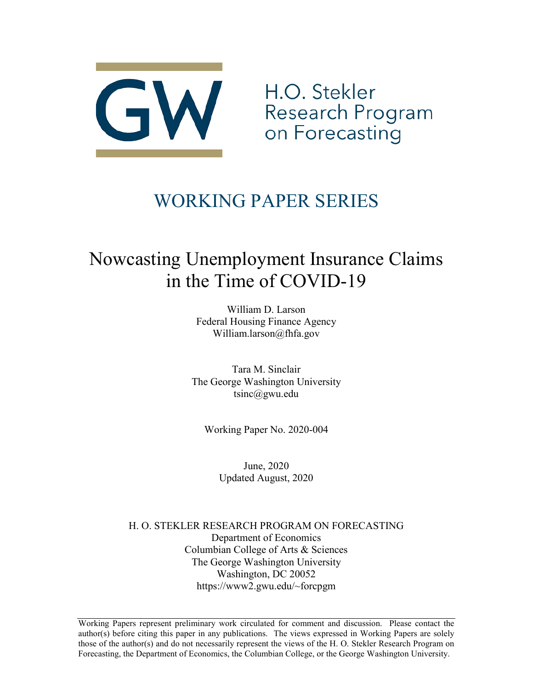

H.O. Stekler Research Program on Forecasting

# WORKING PAPER SERIES

# Nowcasting Unemployment Insurance Claims in the Time of COVID-19

William D. Larson Federal Housing Finance Agency William.larson@fhfa.gov

Tara M. Sinclair The George Washington University tsinc@gwu.edu

Working Paper No. 2020-004

June, 2020 Updated August, 2020

H. O. STEKLER RESEARCH PROGRAM ON FORECASTING Department of Economics Columbian College of Arts & Sciences The George Washington University Washington, DC 20052 https://www2.gwu.edu/~forcpgm

Working Papers represent preliminary work circulated for comment and discussion. Please contact the author(s) before citing this paper in any publications. The views expressed in Working Papers are solely those of the author(s) and do not necessarily represent the views of the H. O. Stekler Research Program on Forecasting, the Department of Economics, the Columbian College, or the George Washington University.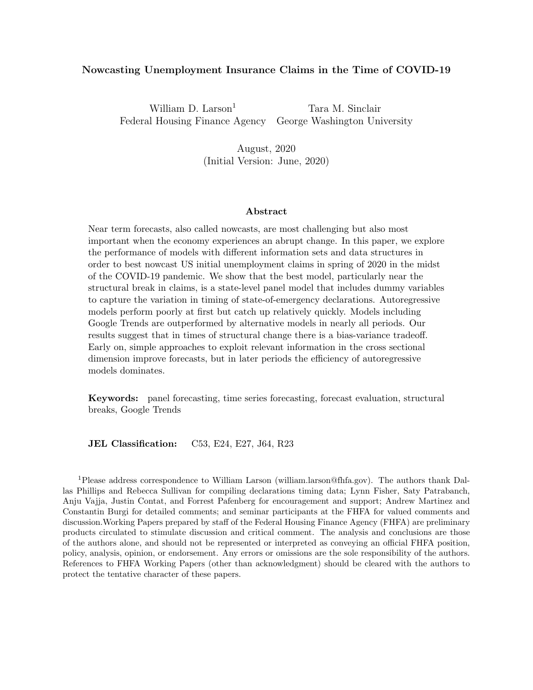#### <span id="page-1-0"></span>Nowcasting Unemployment Insurance Claims in the Time of COVID-19

William D. Larson<sup>1</sup> Tara M. Sinclair Federal Housing Finance Agency George Washington University

> August, 2020 (Initial Version: June, 2020)

#### Abstract

Near term forecasts, also called nowcasts, are most challenging but also most important when the economy experiences an abrupt change. In this paper, we explore the performance of models with different information sets and data structures in order to best nowcast US initial unemployment claims in spring of 2020 in the midst of the COVID-19 pandemic. We show that the best model, particularly near the structural break in claims, is a state-level panel model that includes dummy variables to capture the variation in timing of state-of-emergency declarations. Autoregressive models perform poorly at first but catch up relatively quickly. Models including Google Trends are outperformed by alternative models in nearly all periods. Our results suggest that in times of structural change there is a bias-variance tradeoff. Early on, simple approaches to exploit relevant information in the cross sectional dimension improve forecasts, but in later periods the efficiency of autoregressive models dominates.

Keywords: panel forecasting, time series forecasting, forecast evaluation, structural breaks, Google Trends

JEL Classification: C53, E24, E27, J64, R23

<sup>1</sup>Please address correspondence to William Larson [\(william.larson@fhfa.gov\)](mailto:william.larson@fhfa.gov). The authors thank Dallas Phillips and Rebecca Sullivan for compiling declarations timing data; Lynn Fisher, Saty Patrabanch, Anju Vajja, Justin Contat, and Forrest Pafenberg for encouragement and support; Andrew Martinez and Constantin Burgi for detailed comments; and seminar participants at the FHFA for valued comments and discussion.Working Papers prepared by staff of the Federal Housing Finance Agency (FHFA) are preliminary products circulated to stimulate discussion and critical comment. The analysis and conclusions are those of the authors alone, and should not be represented or interpreted as conveying an official FHFA position, policy, analysis, opinion, or endorsement. Any errors or omissions are the sole responsibility of the authors. References to FHFA Working Papers (other than acknowledgment) should be cleared with the authors to protect the tentative character of these papers.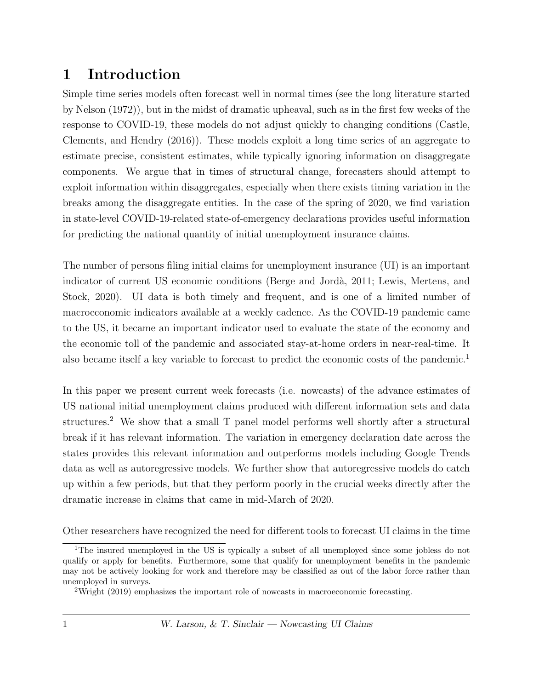# 1 Introduction

Simple time series models often forecast well in normal times (see the long literature started by [Nelson](#page-17-0) [\(1972\)](#page-17-0)), but in the midst of dramatic upheaval, such as in the first few weeks of the response to COVID-19, these models do not adjust quickly to changing conditions [\(Castle,](#page-16-0) [Clements, and Hendry](#page-16-0) [\(2016\)](#page-16-0)). These models exploit a long time series of an aggregate to estimate precise, consistent estimates, while typically ignoring information on disaggregate components. We argue that in times of structural change, forecasters should attempt to exploit information within disaggregates, especially when there exists timing variation in the breaks among the disaggregate entities. In the case of the spring of 2020, we find variation in state-level COVID-19-related state-of-emergency declarations provides useful information for predicting the national quantity of initial unemployment insurance claims.

The number of persons filing initial claims for unemployment insurance (UI) is an important indicator of current US economic conditions (Berge and Jordà, 2011; [Lewis, Mertens, and](#page-17-1) [Stock, 2020\)](#page-17-1). UI data is both timely and frequent, and is one of a limited number of macroeconomic indicators available at a weekly cadence. As the COVID-19 pandemic came to the US, it became an important indicator used to evaluate the state of the economy and the economic toll of the pandemic and associated stay-at-home orders in near-real-time. It also became itself a key variable to forecast to predict the economic costs of the pandemic.<sup>[1](#page-1-0)</sup>

In this paper we present current week forecasts (i.e. nowcasts) of the advance estimates of US national initial unemployment claims produced with different information sets and data structures.<sup>[2](#page-1-0)</sup> We show that a small T panel model performs well shortly after a structural break if it has relevant information. The variation in emergency declaration date across the states provides this relevant information and outperforms models including Google Trends data as well as autoregressive models. We further show that autoregressive models do catch up within a few periods, but that they perform poorly in the crucial weeks directly after the dramatic increase in claims that came in mid-March of 2020.

Other researchers have recognized the need for different tools to forecast UI claims in the time

<sup>&</sup>lt;sup>1</sup>The insured unemployed in the US is typically a subset of all unemployed since some jobless do not qualify or apply for benefits. Furthermore, some that qualify for unemployment benefits in the pandemic may not be actively looking for work and therefore may be classified as out of the labor force rather than unemployed in surveys.

<sup>2</sup>[Wright](#page-18-0) [\(2019\)](#page-18-0) emphasizes the important role of nowcasts in macroeconomic forecasting.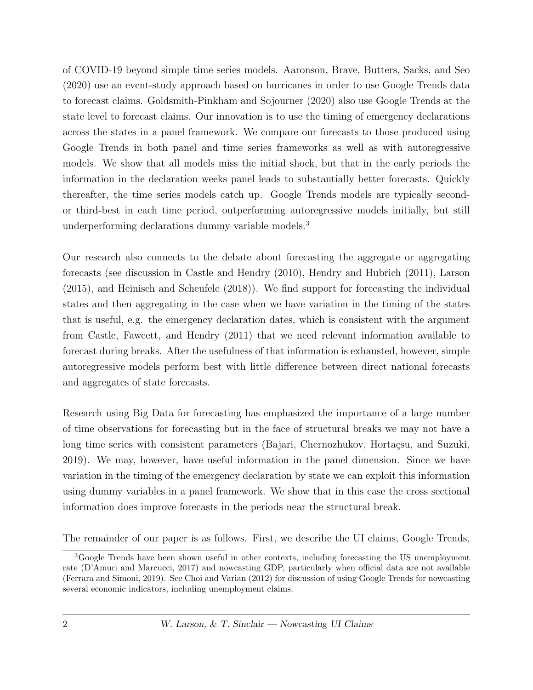of COVID-19 beyond simple time series models. [Aaronson, Brave, Butters, Sacks, and Seo](#page-16-2) [\(2020\)](#page-16-2) use an event-study approach based on hurricanes in order to use Google Trends data to forecast claims. [Goldsmith-Pinkham and Sojourner](#page-17-2) [\(2020\)](#page-17-2) also use Google Trends at the state level to forecast claims. Our innovation is to use the timing of emergency declarations across the states in a panel framework. We compare our forecasts to those produced using Google Trends in both panel and time series frameworks as well as with autoregressive models. We show that all models miss the initial shock, but that in the early periods the information in the declaration weeks panel leads to substantially better forecasts. Quickly thereafter, the time series models catch up. Google Trends models are typically secondor third-best in each time period, outperforming autoregressive models initially, but still underperforming declarations dummy variable models.[3](#page-1-0)

Our research also connects to the debate about forecasting the aggregate or aggregating forecasts (see discussion in [Castle and Hendry](#page-16-3) [\(2010\)](#page-16-3), [Hendry and Hubrich](#page-17-3) [\(2011\)](#page-17-3), [Larson](#page-17-4) [\(2015\)](#page-17-4), and [Heinisch and Scheufele](#page-17-5) [\(2018\)](#page-17-5)). We find support for forecasting the individual states and then aggregating in the case when we have variation in the timing of the states that is useful, e.g. the emergency declaration dates, which is consistent with the argument from [Castle, Fawcett, and Hendry](#page-16-4) [\(2011\)](#page-16-4) that we need relevant information available to forecast during breaks. After the usefulness of that information is exhausted, however, simple autoregressive models perform best with little difference between direct national forecasts and aggregates of state forecasts.

Research using Big Data for forecasting has emphasized the importance of a large number of time observations for forecasting but in the face of structural breaks we may not have a long time series with consistent parameters (Bajari, Chernozhukov, Hortaçsu, and Suzuki, [2019\)](#page-16-5). We may, however, have useful information in the panel dimension. Since we have variation in the timing of the emergency declaration by state we can exploit this information using dummy variables in a panel framework. We show that in this case the cross sectional information does improve forecasts in the periods near the structural break.

The remainder of our paper is as follows. First, we describe the UI claims, Google Trends,

<sup>&</sup>lt;sup>3</sup>Google Trends have been shown useful in other contexts, including forecasting the US unemployment rate [\(D'Amuri and Marcucci, 2017\)](#page-17-6) and nowcasting GDP, particularly when official data are not available [\(Ferrara and Simoni, 2019\)](#page-17-7). See [Choi and Varian](#page-16-6) [\(2012\)](#page-16-6) for discussion of using Google Trends for nowcasting several economic indicators, including unemployment claims.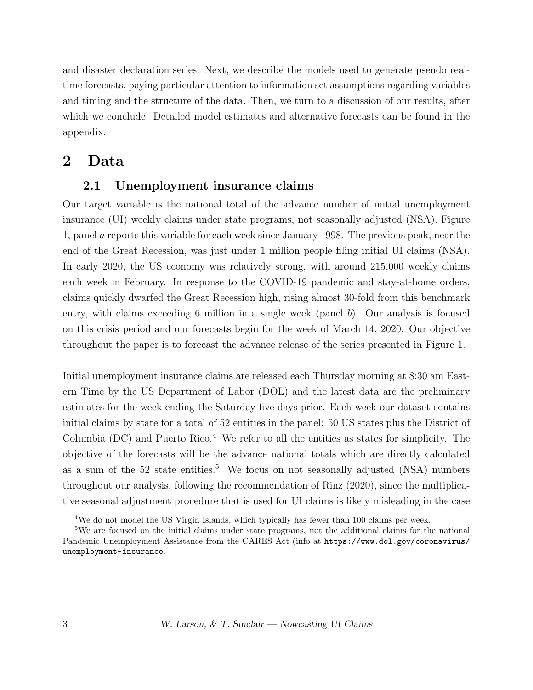and disaster declaration series. Next, we describe the models used to generate pseudo realtime forecasts, paying particular attention to information set assumptions regarding variables and timing and the structure of the data. Then, we turn to a discussion of our results, after which we conclude. Detailed model estimates and alternative forecasts can be found in the appendix.

# 2 Data

### 2.1 Unemployment insurance claims

Our target variable is the national total of the advance number of initial unemployment insurance (UI) weekly claims under state programs, not seasonally adjusted (NSA). Figure [1,](#page-19-0) panel a reports this variable for each week since January 1998. The previous peak, near the end of the Great Recession, was just under 1 million people filing initial UI claims (NSA). In early 2020, the US economy was relatively strong, with around 215,000 weekly claims each week in February. In response to the COVID-19 pandemic and stay-at-home orders, claims quickly dwarfed the Great Recession high, rising almost 30-fold from this benchmark entry, with claims exceeding 6 million in a single week (panel  $b$ ). Our analysis is focused on this crisis period and our forecasts begin for the week of March 14, 2020. Our objective throughout the paper is to forecast the advance release of the series presented in Figure [1.](#page-19-0)

Initial unemployment insurance claims are released each Thursday morning at 8:30 am Eastern Time by the US Department of Labor (DOL) and the latest data are the preliminary estimates for the week ending the Saturday five days prior. Each week our dataset contains initial claims by state for a total of 52 entities in the panel: 50 US states plus the District of Columbia (DC) and Puerto Rico.[4](#page-1-0) We refer to all the entities as states for simplicity. The objective of the forecasts will be the advance national totals which are directly calculated as a sum of the  $52$  $52$  state entities.<sup>5</sup> We focus on not seasonally adjusted (NSA) numbers throughout our analysis, following the recommendation of [Rinz](#page-18-1) [\(2020\)](#page-18-1), since the multiplicative seasonal adjustment procedure that is used for UI claims is likely misleading in the case

<sup>&</sup>lt;sup>4</sup>We do not model the US Virgin Islands, which typically has fewer than 100 claims per week.

<sup>5</sup>We are focused on the initial claims under state programs, not the additional claims for the national Pandemic Unemployment Assistance from the CARES Act (info at [https://www.dol.gov/coronavirus/](https://www.dol.gov/coronavirus/unemployment-insurance) [unemployment-insurance](https://www.dol.gov/coronavirus/unemployment-insurance).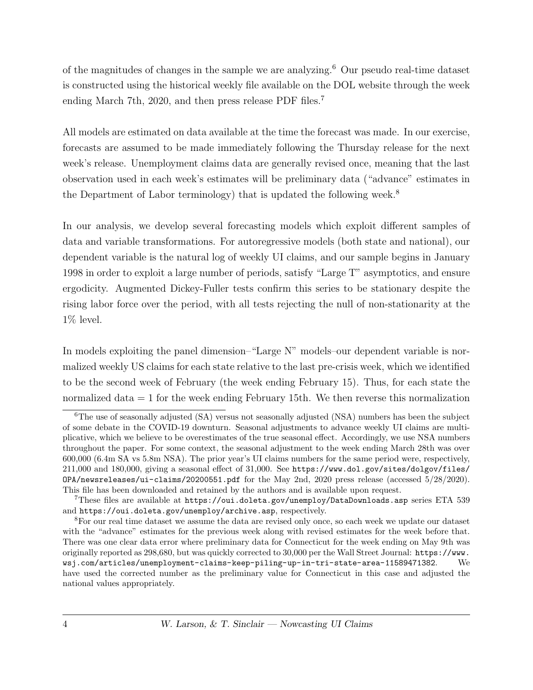of the magnitudes of changes in the sample we are analyzing.[6](#page-1-0) Our pseudo real-time dataset is constructed using the historical weekly file available on the DOL website through the week ending March [7](#page-1-0)th, 2020, and then press release PDF files.<sup>7</sup>

All models are estimated on data available at the time the forecast was made. In our exercise, forecasts are assumed to be made immediately following the Thursday release for the next week's release. Unemployment claims data are generally revised once, meaning that the last observation used in each week's estimates will be preliminary data ("advance" estimates in the Department of Labor terminology) that is updated the following week.<sup>[8](#page-1-0)</sup>

In our analysis, we develop several forecasting models which exploit different samples of data and variable transformations. For autoregressive models (both state and national), our dependent variable is the natural log of weekly UI claims, and our sample begins in January 1998 in order to exploit a large number of periods, satisfy "Large T" asymptotics, and ensure ergodicity. Augmented Dickey-Fuller tests confirm this series to be stationary despite the rising labor force over the period, with all tests rejecting the null of non-stationarity at the  $1\%$  level.

In models exploiting the panel dimension–"Large N" models–our dependent variable is normalized weekly US claims for each state relative to the last pre-crisis week, which we identified to be the second week of February (the week ending February 15). Thus, for each state the normalized data = 1 for the week ending February 15th. We then reverse this normalization

<sup>&</sup>lt;sup>6</sup>The use of seasonally adjusted (SA) versus not seasonally adjusted (NSA) numbers has been the subject of some debate in the COVID-19 downturn. Seasonal adjustments to advance weekly UI claims are multiplicative, which we believe to be overestimates of the true seasonal effect. Accordingly, we use NSA numbers throughout the paper. For some context, the seasonal adjustment to the week ending March 28th was over 600,000 (6.4m SA vs 5.8m NSA). The prior year's UI claims numbers for the same period were, respectively, 211,000 and 180,000, giving a seasonal effect of 31,000. See [https://www.dol.gov/sites/dolgov/files/](https://www.dol.gov/sites/dolgov/files/OPA/newsreleases/ui-claims/20200551.pdf) [OPA/newsreleases/ui-claims/20200551.pdf](https://www.dol.gov/sites/dolgov/files/OPA/newsreleases/ui-claims/20200551.pdf) for the May 2nd, 2020 press release (accessed 5/28/2020). This file has been downloaded and retained by the authors and is available upon request.

<sup>&</sup>lt;sup>7</sup>These files are available at <https://oui.doleta.gov/unemploy/DataDownloads.asp> series ETA 539 and <https://oui.doleta.gov/unemploy/archive.asp>, respectively.

<sup>8</sup>For our real time dataset we assume the data are revised only once, so each week we update our dataset with the "advance" estimates for the previous week along with revised estimates for the week before that. There was one clear data error where preliminary data for Connecticut for the week ending on May 9th was originally reported as 298,680, but was quickly corrected to 30,000 per the Wall Street Journal: [https://www.](https://www.wsj.com/articles/unemployment-claims-keep-piling-up-in-tri-state-area-11589471382) [wsj.com/articles/unemployment-claims-keep-piling-up-in-tri-state-area-11589471382](https://www.wsj.com/articles/unemployment-claims-keep-piling-up-in-tri-state-area-11589471382). We have used the corrected number as the preliminary value for Connecticut in this case and adjusted the national values appropriately.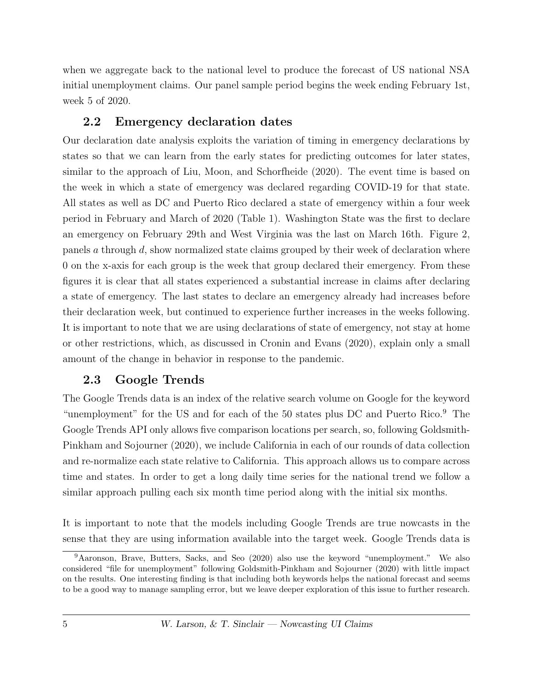when we aggregate back to the national level to produce the forecast of US national NSA initial unemployment claims. Our panel sample period begins the week ending February 1st, week 5 of 2020.

### 2.2 Emergency declaration dates

Our declaration date analysis exploits the variation of timing in emergency declarations by states so that we can learn from the early states for predicting outcomes for later states, similar to the approach of [Liu, Moon, and Schorfheide](#page-17-8) [\(2020\)](#page-17-8). The event time is based on the week in which a state of emergency was declared regarding COVID-19 for that state. All states as well as DC and Puerto Rico declared a state of emergency within a four week period in February and March of 2020 (Table 1). Washington State was the first to declare an emergency on February 29th and West Virginia was the last on March 16th. Figure [2,](#page-20-0) panels a through d, show normalized state claims grouped by their week of declaration where 0 on the x-axis for each group is the week that group declared their emergency. From these figures it is clear that all states experienced a substantial increase in claims after declaring a state of emergency. The last states to declare an emergency already had increases before their declaration week, but continued to experience further increases in the weeks following. It is important to note that we are using declarations of state of emergency, not stay at home or other restrictions, which, as discussed in [Cronin and Evans](#page-16-7) [\(2020\)](#page-16-7), explain only a small amount of the change in behavior in response to the pandemic.

# 2.3 Google Trends

The Google Trends data is an index of the relative search volume on Google for the keyword "unemployment" for the US and for each of the 50 states plus DC and Puerto Rico.[9](#page-1-0) The Google Trends API only allows five comparison locations per search, so, following [Goldsmith-](#page-17-2)[Pinkham and Sojourner](#page-17-2) [\(2020\)](#page-17-2), we include California in each of our rounds of data collection and re-normalize each state relative to California. This approach allows us to compare across time and states. In order to get a long daily time series for the national trend we follow a similar approach pulling each six month time period along with the initial six months.

It is important to note that the models including Google Trends are true nowcasts in the sense that they are using information available into the target week. Google Trends data is

<sup>9</sup>[Aaronson, Brave, Butters, Sacks, and Seo](#page-16-2) [\(2020\)](#page-16-2) also use the keyword "unemployment." We also considered "file for unemployment" following [Goldsmith-Pinkham and Sojourner](#page-17-2) [\(2020\)](#page-17-2) with little impact on the results. One interesting finding is that including both keywords helps the national forecast and seems to be a good way to manage sampling error, but we leave deeper exploration of this issue to further research.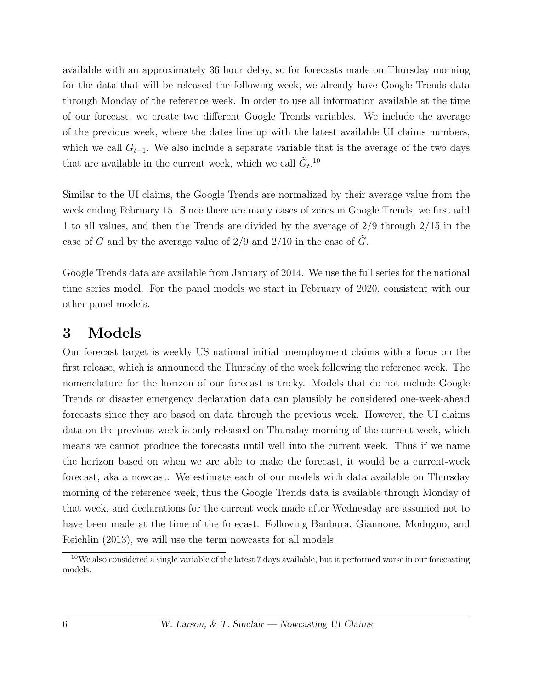available with an approximately 36 hour delay, so for forecasts made on Thursday morning for the data that will be released the following week, we already have Google Trends data through Monday of the reference week. In order to use all information available at the time of our forecast, we create two different Google Trends variables. We include the average of the previous week, where the dates line up with the latest available UI claims numbers, which we call  $G_{t-1}$ . We also include a separate variable that is the average of the two days that are available in the current week, which we call  $\tilde{G}_t$ .<sup>[10](#page-1-0)</sup>

Similar to the UI claims, the Google Trends are normalized by their average value from the week ending February 15. Since there are many cases of zeros in Google Trends, we first add 1 to all values, and then the Trends are divided by the average of 2/9 through 2/15 in the case of G and by the average value of  $2/9$  and  $2/10$  in the case of G.

Google Trends data are available from January of 2014. We use the full series for the national time series model. For the panel models we start in February of 2020, consistent with our other panel models.

## 3 Models

Our forecast target is weekly US national initial unemployment claims with a focus on the first release, which is announced the Thursday of the week following the reference week. The nomenclature for the horizon of our forecast is tricky. Models that do not include Google Trends or disaster emergency declaration data can plausibly be considered one-week-ahead forecasts since they are based on data through the previous week. However, the UI claims data on the previous week is only released on Thursday morning of the current week, which means we cannot produce the forecasts until well into the current week. Thus if we name the horizon based on when we are able to make the forecast, it would be a current-week forecast, aka a nowcast. We estimate each of our models with data available on Thursday morning of the reference week, thus the Google Trends data is available through Monday of that week, and declarations for the current week made after Wednesday are assumed not to have been made at the time of the forecast. Following [Banbura, Giannone, Modugno, and](#page-16-8) [Reichlin](#page-16-8) [\(2013\)](#page-16-8), we will use the term nowcasts for all models.

 $10$ We also considered a single variable of the latest 7 days available, but it performed worse in our forecasting models.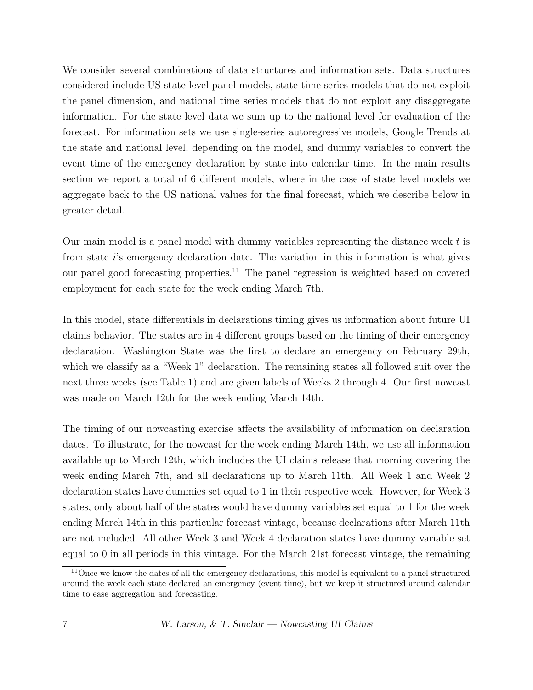We consider several combinations of data structures and information sets. Data structures considered include US state level panel models, state time series models that do not exploit the panel dimension, and national time series models that do not exploit any disaggregate information. For the state level data we sum up to the national level for evaluation of the forecast. For information sets we use single-series autoregressive models, Google Trends at the state and national level, depending on the model, and dummy variables to convert the event time of the emergency declaration by state into calendar time. In the main results section we report a total of 6 different models, where in the case of state level models we aggregate back to the US national values for the final forecast, which we describe below in greater detail.

Our main model is a panel model with dummy variables representing the distance week  $t$  is from state i's emergency declaration date. The variation in this information is what gives our panel good forecasting properties.[11](#page-1-0) The panel regression is weighted based on covered employment for each state for the week ending March 7th.

In this model, state differentials in declarations timing gives us information about future UI claims behavior. The states are in 4 different groups based on the timing of their emergency declaration. Washington State was the first to declare an emergency on February 29th, which we classify as a "Week 1" declaration. The remaining states all followed suit over the next three weeks (see Table 1) and are given labels of Weeks 2 through 4. Our first nowcast was made on March 12th for the week ending March 14th.

The timing of our nowcasting exercise affects the availability of information on declaration dates. To illustrate, for the nowcast for the week ending March 14th, we use all information available up to March 12th, which includes the UI claims release that morning covering the week ending March 7th, and all declarations up to March 11th. All Week 1 and Week 2 declaration states have dummies set equal to 1 in their respective week. However, for Week 3 states, only about half of the states would have dummy variables set equal to 1 for the week ending March 14th in this particular forecast vintage, because declarations after March 11th are not included. All other Week 3 and Week 4 declaration states have dummy variable set equal to 0 in all periods in this vintage. For the March 21st forecast vintage, the remaining

<sup>&</sup>lt;sup>11</sup>Once we know the dates of all the emergency declarations, this model is equivalent to a panel structured around the week each state declared an emergency (event time), but we keep it structured around calendar time to ease aggregation and forecasting.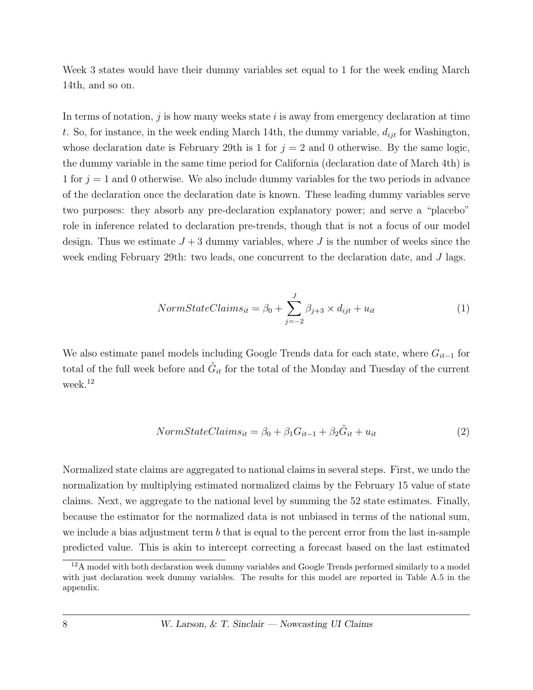Week 3 states would have their dummy variables set equal to 1 for the week ending March 14th, and so on.

In terms of notation,  $j$  is how many weeks state  $i$  is away from emergency declaration at time t. So, for instance, in the week ending March 14th, the dummy variable,  $d_{ijt}$  for Washington, whose declaration date is February 29th is 1 for  $j = 2$  and 0 otherwise. By the same logic, the dummy variable in the same time period for California (declaration date of March 4th) is 1 for  $j = 1$  and 0 otherwise. We also include dummy variables for the two periods in advance of the declaration once the declaration date is known. These leading dummy variables serve two purposes: they absorb any pre-declaration explanatory power; and serve a "placebo" role in inference related to declaration pre-trends, though that is not a focus of our model design. Thus we estimate  $J + 3$  dummy variables, where J is the number of weeks since the week ending February 29th: two leads, one concurrent to the declaration date, and J lags.

$$
NormStateClaims_{it} = \beta_0 + \sum_{j=-2}^{J} \beta_{j+3} \times d_{ijt} + u_{it}
$$
\n(1)

We also estimate panel models including Google Trends data for each state, where  $G_{it-1}$  for total of the full week before and  $\tilde{G}_{it}$  for the total of the Monday and Tuesday of the current week.[12](#page-1-0)

$$
NormStateClaims_{it} = \beta_0 + \beta_1 G_{it-1} + \beta_2 \tilde{G}_{it} + u_{it}
$$
\n(2)

Normalized state claims are aggregated to national claims in several steps. First, we undo the normalization by multiplying estimated normalized claims by the February 15 value of state claims. Next, we aggregate to the national level by summing the 52 state estimates. Finally, because the estimator for the normalized data is not unbiased in terms of the national sum, we include a bias adjustment term  $b$  that is equal to the percent error from the last in-sample predicted value. This is akin to intercept correcting a forecast based on the last estimated

 $12A$  model with both declaration week dummy variables and Google Trends performed similarly to a model with just declaration week dummy variables. The results for this model are reported in Table [A.5](#page-32-0) in the appendix.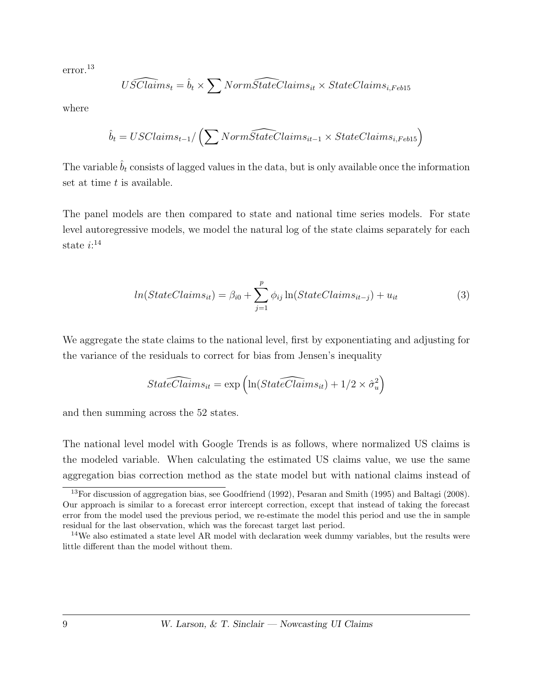error.[13](#page-1-0)

$$
\widehat{USClains_t} = \hat{b}_t \times \sum Norm\widehat{StateClains_{it}} \times StateClains_{i, Feb15}
$$

where

$$
\hat{b}_t = USClains_{t-1}/\left(\sum Norm\widehat{StateClains}_{it-1} \times StateClains_{i, Feb15}\right)
$$

The variable  $\hat{b}_t$  consists of lagged values in the data, but is only available once the information set at time  $t$  is available.

The panel models are then compared to state and national time series models. For state level autoregressive models, we model the natural log of the state claims separately for each state  $i:^{14}$  $i:^{14}$  $i:^{14}$ 

$$
ln(StateClaims_{it}) = \beta_{i0} + \sum_{j=1}^{p} \phi_{ij} \ln(StateClaims_{it-j}) + u_{it}
$$
\n(3)

We aggregate the state claims to the national level, first by exponentiating and adjusting for the variance of the residuals to correct for bias from Jensen's inequality

$$
StateClaims_{it} = \exp\left(\ln(StateClaims_{it}) + 1/2 \times \hat{\sigma}_u^2\right)
$$

and then summing across the 52 states.

The national level model with Google Trends is as follows, where normalized US claims is the modeled variable. When calculating the estimated US claims value, we use the same aggregation bias correction method as the state model but with national claims instead of

<sup>&</sup>lt;sup>13</sup>For discussion of aggregation bias, see [Goodfriend](#page-17-9) [\(1992\)](#page-17-9), [Pesaran and Smith](#page-18-2) [\(1995\)](#page-18-2) and [Baltagi](#page-16-9) [\(2008\)](#page-16-9). Our approach is similar to a forecast error intercept correction, except that instead of taking the forecast error from the model used the previous period, we re-estimate the model this period and use the in sample residual for the last observation, which was the forecast target last period.

<sup>&</sup>lt;sup>14</sup>We also estimated a state level AR model with declaration week dummy variables, but the results were little different than the model without them.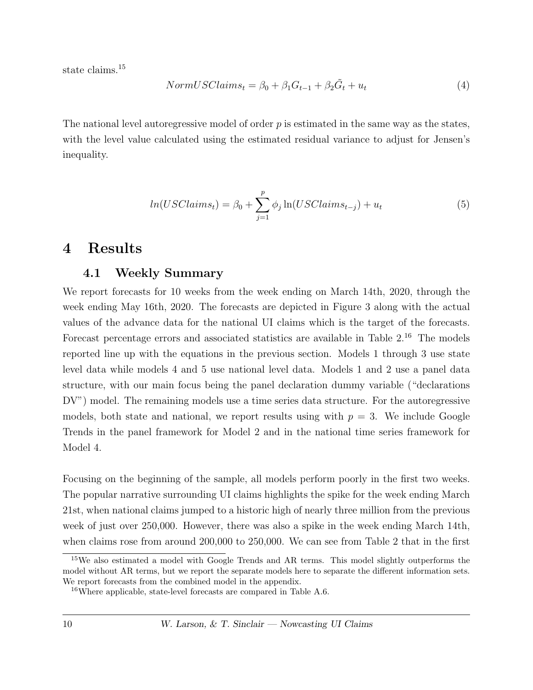state claims.<sup>[15](#page-1-0)</sup>

$$
NormUSClains_t = \beta_0 + \beta_1 G_{t-1} + \beta_2 \tilde{G}_t + u_t \tag{4}
$$

The national level autoregressive model of order  $p$  is estimated in the same way as the states, with the level value calculated using the estimated residual variance to adjust for Jensen's inequality.

$$
ln(USClaims_t) = \beta_0 + \sum_{j=1}^{p} \phi_j \ln(USClaims_{t-j}) + u_t
$$
\n(5)

### 4 Results

#### 4.1 Weekly Summary

We report forecasts for 10 weeks from the week ending on March 14th, 2020, through the week ending May 16th, 2020. The forecasts are depicted in Figure [3](#page-22-0) along with the actual values of the advance data for the national UI claims which is the target of the forecasts. Forecast percentage errors and associated statistics are available in Table [2.](#page-26-0)[16](#page-1-0) The models reported line up with the equations in the previous section. Models 1 through 3 use state level data while models 4 and 5 use national level data. Models 1 and 2 use a panel data structure, with our main focus being the panel declaration dummy variable ("declarations DV") model. The remaining models use a time series data structure. For the autoregressive models, both state and national, we report results using with  $p = 3$ . We include Google Trends in the panel framework for Model 2 and in the national time series framework for Model 4.

Focusing on the beginning of the sample, all models perform poorly in the first two weeks. The popular narrative surrounding UI claims highlights the spike for the week ending March 21st, when national claims jumped to a historic high of nearly three million from the previous week of just over 250,000. However, there was also a spike in the week ending March 14th, when claims rose from around 200,000 to 250,000. We can see from Table [2](#page-26-0) that in the first

<sup>&</sup>lt;sup>15</sup>We also estimated a model with Google Trends and AR terms. This model slightly outperforms the model without AR terms, but we report the separate models here to separate the different information sets. We report forecasts from the combined model in the appendix.

<sup>16</sup>Where applicable, state-level forecasts are compared in Table [A.6.](#page-33-0)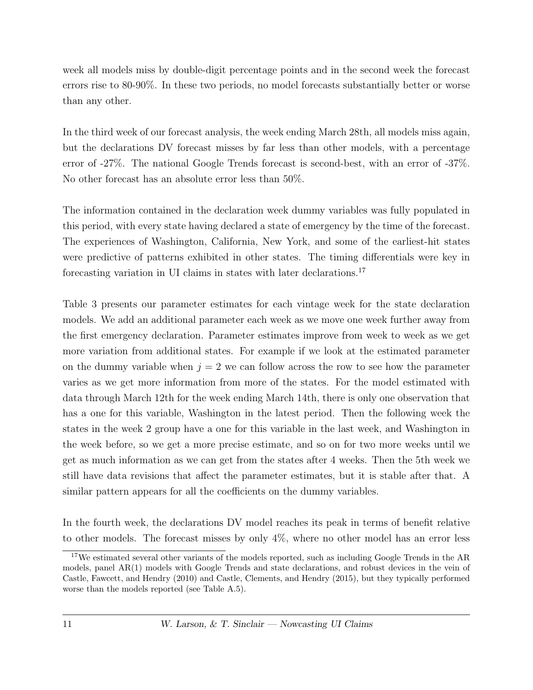week all models miss by double-digit percentage points and in the second week the forecast errors rise to 80-90%. In these two periods, no model forecasts substantially better or worse than any other.

In the third week of our forecast analysis, the week ending March 28th, all models miss again, but the declarations DV forecast misses by far less than other models, with a percentage error of -27%. The national Google Trends forecast is second-best, with an error of -37%. No other forecast has an absolute error less than 50%.

The information contained in the declaration week dummy variables was fully populated in this period, with every state having declared a state of emergency by the time of the forecast. The experiences of Washington, California, New York, and some of the earliest-hit states were predictive of patterns exhibited in other states. The timing differentials were key in forecasting variation in UI claims in states with later declarations.[17](#page-1-0)

Table [3](#page-27-0) presents our parameter estimates for each vintage week for the state declaration models. We add an additional parameter each week as we move one week further away from the first emergency declaration. Parameter estimates improve from week to week as we get more variation from additional states. For example if we look at the estimated parameter on the dummy variable when  $j = 2$  we can follow across the row to see how the parameter varies as we get more information from more of the states. For the model estimated with data through March 12th for the week ending March 14th, there is only one observation that has a one for this variable, Washington in the latest period. Then the following week the states in the week 2 group have a one for this variable in the last week, and Washington in the week before, so we get a more precise estimate, and so on for two more weeks until we get as much information as we can get from the states after 4 weeks. Then the 5th week we still have data revisions that affect the parameter estimates, but it is stable after that. A similar pattern appears for all the coefficients on the dummy variables.

In the fourth week, the declarations DV model reaches its peak in terms of benefit relative to other models. The forecast misses by only  $4\%$ , where no other model has an error less

<sup>&</sup>lt;sup>17</sup>We estimated several other variants of the models reported, such as including Google Trends in the AR models, panel AR(1) models with Google Trends and state declarations, and robust devices in the vein of [Castle, Fawcett, and Hendry](#page-16-10) [\(2010\)](#page-16-10) and [Castle, Clements, and Hendry](#page-16-11) [\(2015\)](#page-16-11), but they typically performed worse than the models reported (see Table [A.5\)](#page-32-0).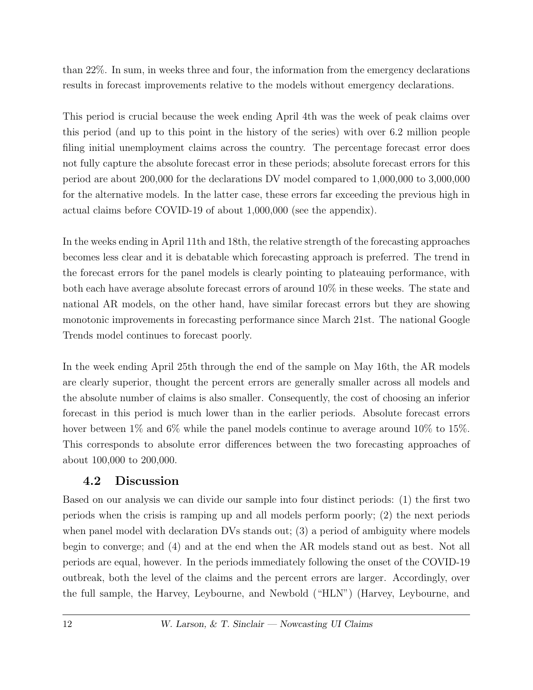than 22%. In sum, in weeks three and four, the information from the emergency declarations results in forecast improvements relative to the models without emergency declarations.

This period is crucial because the week ending April 4th was the week of peak claims over this period (and up to this point in the history of the series) with over 6.2 million people filing initial unemployment claims across the country. The percentage forecast error does not fully capture the absolute forecast error in these periods; absolute forecast errors for this period are about 200,000 for the declarations DV model compared to 1,000,000 to 3,000,000 for the alternative models. In the latter case, these errors far exceeding the previous high in actual claims before COVID-19 of about 1,000,000 (see the appendix).

In the weeks ending in April 11th and 18th, the relative strength of the forecasting approaches becomes less clear and it is debatable which forecasting approach is preferred. The trend in the forecast errors for the panel models is clearly pointing to plateauing performance, with both each have average absolute forecast errors of around 10% in these weeks. The state and national AR models, on the other hand, have similar forecast errors but they are showing monotonic improvements in forecasting performance since March 21st. The national Google Trends model continues to forecast poorly.

In the week ending April 25th through the end of the sample on May 16th, the AR models are clearly superior, thought the percent errors are generally smaller across all models and the absolute number of claims is also smaller. Consequently, the cost of choosing an inferior forecast in this period is much lower than in the earlier periods. Absolute forecast errors hover between  $1\%$  and  $6\%$  while the panel models continue to average around  $10\%$  to  $15\%$ . This corresponds to absolute error differences between the two forecasting approaches of about 100,000 to 200,000.

#### 4.2 Discussion

Based on our analysis we can divide our sample into four distinct periods: (1) the first two periods when the crisis is ramping up and all models perform poorly; (2) the next periods when panel model with declaration DVs stands out; (3) a period of ambiguity where models begin to converge; and (4) and at the end when the AR models stand out as best. Not all periods are equal, however. In the periods immediately following the onset of the COVID-19 outbreak, both the level of the claims and the percent errors are larger. Accordingly, over the full sample, the Harvey, Leybourne, and Newbold ("HLN") [\(Harvey, Leybourne, and](#page-17-10)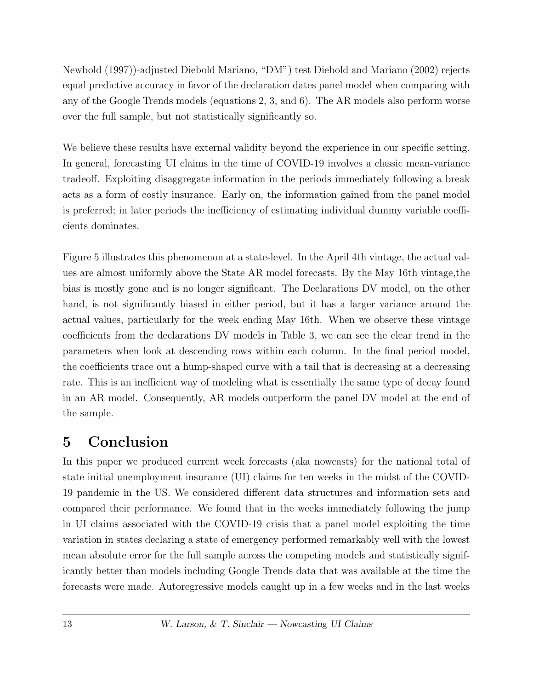[Newbold](#page-17-10) [\(1997\)](#page-17-10))-adjusted Diebold Mariano, "DM") test [Diebold and Mariano](#page-17-11) [\(2002\)](#page-17-11) rejects equal predictive accuracy in favor of the declaration dates panel model when comparing with any of the Google Trends models (equations 2, 3, and 6). The AR models also perform worse over the full sample, but not statistically significantly so.

We believe these results have external validity beyond the experience in our specific setting. In general, forecasting UI claims in the time of COVID-19 involves a classic mean-variance tradeoff. Exploiting disaggregate information in the periods immediately following a break acts as a form of costly insurance. Early on, the information gained from the panel model is preferred; in later periods the inefficiency of estimating individual dummy variable coefficients dominates.

Figure [5](#page-24-0) illustrates this phenomenon at a state-level. In the April 4th vintage, the actual values are almost uniformly above the State AR model forecasts. By the May 16th vintage,the bias is mostly gone and is no longer significant. The Declarations DV model, on the other hand, is not significantly biased in either period, but it has a larger variance around the actual values, particularly for the week ending May 16th. When we observe these vintage coefficients from the declarations DV models in Table [3,](#page-27-0) we can see the clear trend in the parameters when look at descending rows within each column. In the final period model, the coefficients trace out a hump-shaped curve with a tail that is decreasing at a decreasing rate. This is an inefficient way of modeling what is essentially the same type of decay found in an AR model. Consequently, AR models outperform the panel DV model at the end of the sample.

# 5 Conclusion

In this paper we produced current week forecasts (aka nowcasts) for the national total of state initial unemployment insurance (UI) claims for ten weeks in the midst of the COVID-19 pandemic in the US. We considered different data structures and information sets and compared their performance. We found that in the weeks immediately following the jump in UI claims associated with the COVID-19 crisis that a panel model exploiting the time variation in states declaring a state of emergency performed remarkably well with the lowest mean absolute error for the full sample across the competing models and statistically significantly better than models including Google Trends data that was available at the time the forecasts were made. Autoregressive models caught up in a few weeks and in the last weeks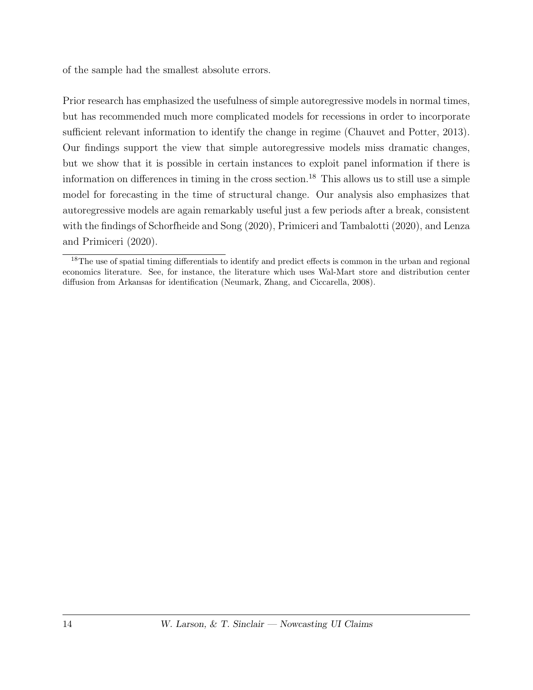of the sample had the smallest absolute errors.

Prior research has emphasized the usefulness of simple autoregressive models in normal times, but has recommended much more complicated models for recessions in order to incorporate sufficient relevant information to identify the change in regime [\(Chauvet and Potter, 2013\)](#page-16-12). Our findings support the view that simple autoregressive models miss dramatic changes, but we show that it is possible in certain instances to exploit panel information if there is information on differences in timing in the cross section.<sup>[18](#page-1-0)</sup> This allows us to still use a simple model for forecasting in the time of structural change. Our analysis also emphasizes that autoregressive models are again remarkably useful just a few periods after a break, consistent with the findings of [Schorfheide and Song](#page-18-3) [\(2020\)](#page-18-3), [Primiceri and Tambalotti](#page-18-4) [\(2020\)](#page-18-4), and [Lenza](#page-17-12) [and Primiceri](#page-17-12) [\(2020\)](#page-17-12).

<sup>&</sup>lt;sup>18</sup>The use of spatial timing differentials to identify and predict effects is common in the urban and regional economics literature. See, for instance, the literature which uses Wal-Mart store and distribution center diffusion from Arkansas for identification [\(Neumark, Zhang, and Ciccarella, 2008\)](#page-17-13).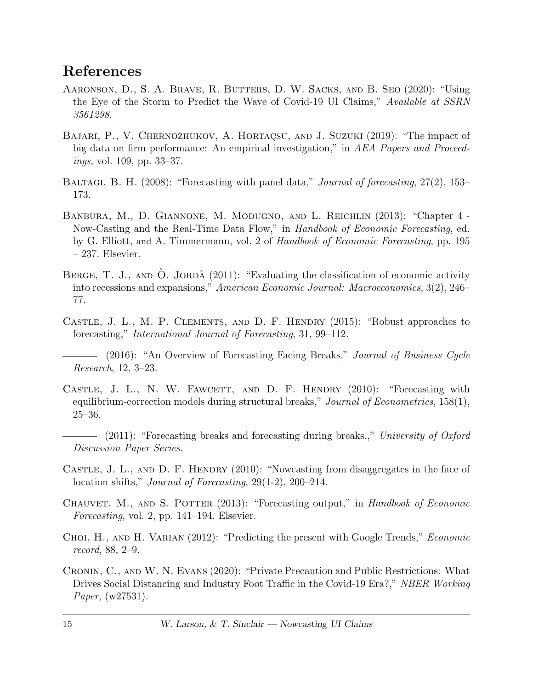## References

- <span id="page-16-2"></span>Aaronson, D., S. A. Brave, R. Butters, D. W. Sacks, and B. Seo (2020): "Using the Eye of the Storm to Predict the Wave of Covid-19 UI Claims," Available at SSRN 3561298.
- <span id="page-16-5"></span>BAJARI, P., V. CHERNOZHUKOV, A. HORTAÇSU, AND J. SUZUKI (2019): "The impact of big data on firm performance: An empirical investigation," in AEA Papers and Proceedings, vol. 109, pp. 33–37.
- <span id="page-16-9"></span>BALTAGI, B. H. (2008): "Forecasting with panel data," *Journal of forecasting*, 27(2), 153– 173.
- <span id="page-16-8"></span>Banbura, M., D. Giannone, M. Modugno, and L. Reichlin (2013): "Chapter 4 - Now-Casting and the Real-Time Data Flow," in Handbook of Economic Forecasting, ed. by G. Elliott, and A. Timmermann, vol. 2 of Handbook of Economic Forecasting, pp. 195 – 237. Elsevier.
- <span id="page-16-1"></span>BERGE, T. J., AND  $\dot{\text{O}}$ . JORDÀ (2011): "Evaluating the classification of economic activity into recessions and expansions," American Economic Journal: Macroeconomics, 3(2), 246– 77.
- <span id="page-16-11"></span><span id="page-16-0"></span>Castle, J. L., M. P. Clements, and D. F. Hendry (2015): "Robust approaches to forecasting," International Journal of Forecasting, 31, 99–112.
	- (2016): "An Overview of Forecasting Facing Breaks," Journal of Business Cycle Research, 12, 3–23.
- <span id="page-16-10"></span>CASTLE, J. L., N. W. FAWCETT, AND D. F. HENDRY (2010): "Forecasting with equilibrium-correction models during structural breaks," Journal of Econometrics, 158(1), 25–36.
	- $-$  (2011): "Forecasting breaks and forecasting during breaks.," University of Oxford Discussion Paper Series.
- <span id="page-16-4"></span><span id="page-16-3"></span>CASTLE, J. L., AND D. F. HENDRY (2010): "Nowcasting from disaggregates in the face of location shifts," Journal of Forecasting, 29(1-2), 200–214.
- <span id="page-16-12"></span>CHAUVET, M., AND S. POTTER (2013): "Forecasting output," in Handbook of Economic Forecasting, vol. 2, pp. 141–194. Elsevier.
- <span id="page-16-6"></span>Choi, H., and H. Varian (2012): "Predicting the present with Google Trends," Economic record, 88, 2–9.
- <span id="page-16-7"></span>Cronin, C., and W. N. Evans (2020): "Private Precaution and Public Restrictions: What Drives Social Distancing and Industry Foot Traffic in the Covid-19 Era?," NBER Working Paper, (w27531).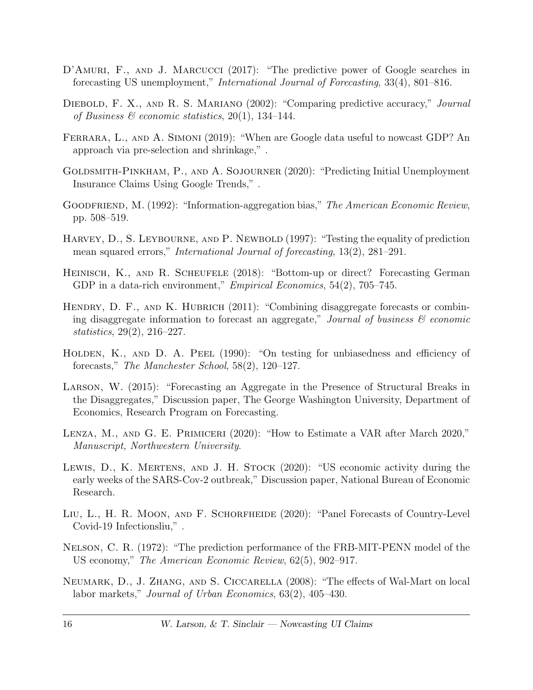- <span id="page-17-15"></span><span id="page-17-6"></span>D'AMURI, F., AND J. MARCUCCI (2017): "The predictive power of Google searches in forecasting US unemployment," International Journal of Forecasting, 33(4), 801–816.
- <span id="page-17-11"></span>DIEBOLD, F. X., AND R. S. MARIANO (2002): "Comparing predictive accuracy," Journal of Business  $\mathcal{B}$  economic statistics, 20(1), 134–144.
- <span id="page-17-7"></span>FERRARA, L., AND A. SIMONI (2019): "When are Google data useful to nowcast GDP? An approach via pre-selection and shrinkage," .
- <span id="page-17-2"></span>Goldsmith-Pinkham, P., and A. Sojourner (2020): "Predicting Initial Unemployment Insurance Claims Using Google Trends," .
- <span id="page-17-9"></span>GOODFRIEND, M. (1992): "Information-aggregation bias," The American Economic Review, pp. 508–519.
- <span id="page-17-10"></span>HARVEY, D., S. LEYBOURNE, AND P. NEWBOLD (1997): "Testing the equality of prediction mean squared errors," International Journal of forecasting, 13(2), 281–291.
- <span id="page-17-5"></span>HEINISCH, K., AND R. SCHEUFELE (2018): "Bottom-up or direct? Forecasting German GDP in a data-rich environment," *Empirical Economics*, 54(2), 705–745.
- <span id="page-17-3"></span>HENDRY, D. F., AND K. HUBRICH (2011): "Combining disaggregate forecasts or combining disaggregate information to forecast an aggregate," Journal of business  $\mathcal{C}$  economic statistics, 29(2), 216–227.
- <span id="page-17-14"></span>HOLDEN, K., AND D. A. PEEL (1990): "On testing for unbiasedness and efficiency of forecasts," The Manchester School, 58(2), 120–127.
- <span id="page-17-4"></span>Larson, W. (2015): "Forecasting an Aggregate in the Presence of Structural Breaks in the Disaggregates," Discussion paper, The George Washington University, Department of Economics, Research Program on Forecasting.
- <span id="page-17-12"></span>Lenza, M., and G. E. Primiceri (2020): "How to Estimate a VAR after March 2020," Manuscript, Northwestern University.
- <span id="page-17-1"></span>Lewis, D., K. Mertens, and J. H. Stock (2020): "US economic activity during the early weeks of the SARS-Cov-2 outbreak," Discussion paper, National Bureau of Economic Research.
- <span id="page-17-8"></span>Liu, L., H. R. Moon, and F. Schorfheide (2020): "Panel Forecasts of Country-Level Covid-19 Infectionsliu," .
- <span id="page-17-0"></span>Nelson, C. R. (1972): "The prediction performance of the FRB-MIT-PENN model of the US economy," The American Economic Review, 62(5), 902–917.
- <span id="page-17-13"></span>Neumark, D., J. Zhang, and S. Ciccarella (2008): "The effects of Wal-Mart on local labor markets," Journal of Urban Economics, 63(2), 405–430.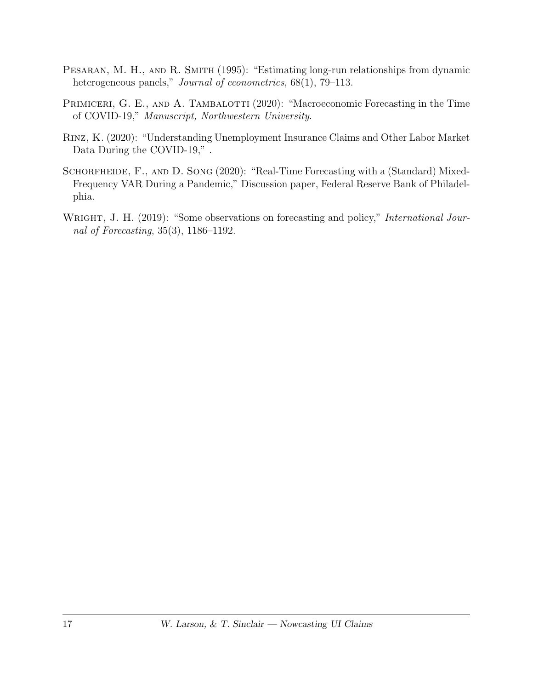- <span id="page-18-2"></span>PESARAN, M. H., AND R. SMITH (1995): "Estimating long-run relationships from dynamic heterogeneous panels," Journal of econometrics, 68(1), 79–113.
- <span id="page-18-4"></span>PRIMICERI, G. E., AND A. TAMBALOTTI (2020): "Macroeconomic Forecasting in the Time of COVID-19," Manuscript, Northwestern University.
- <span id="page-18-1"></span>Rinz, K. (2020): "Understanding Unemployment Insurance Claims and Other Labor Market Data During the COVID-19," .
- <span id="page-18-3"></span>SCHORFHEIDE, F., AND D. SONG (2020): "Real-Time Forecasting with a (Standard) Mixed-Frequency VAR During a Pandemic," Discussion paper, Federal Reserve Bank of Philadelphia.
- <span id="page-18-0"></span>WRIGHT, J. H. (2019): "Some observations on forecasting and policy," *International Jour*nal of Forecasting, 35(3), 1186–1192.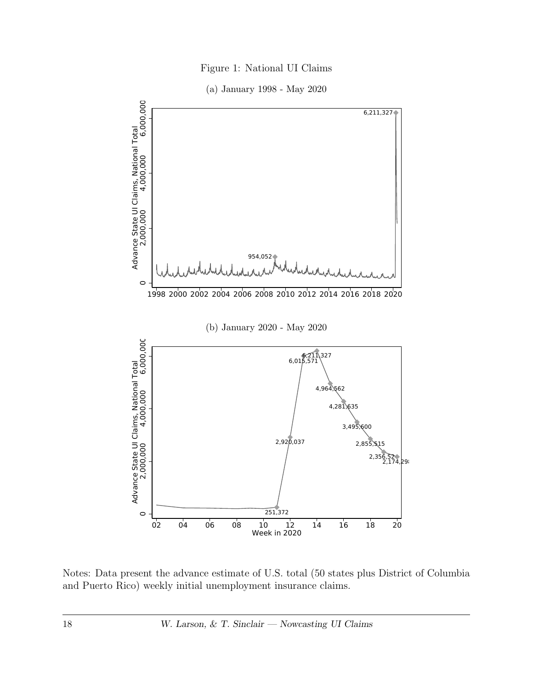Figure 1: National UI Claims

(a) January 1998 - May 2020

<span id="page-19-0"></span>

Notes: Data present the advance estimate of U.S. total (50 states plus District of Columbia and Puerto Rico) weekly initial unemployment insurance claims.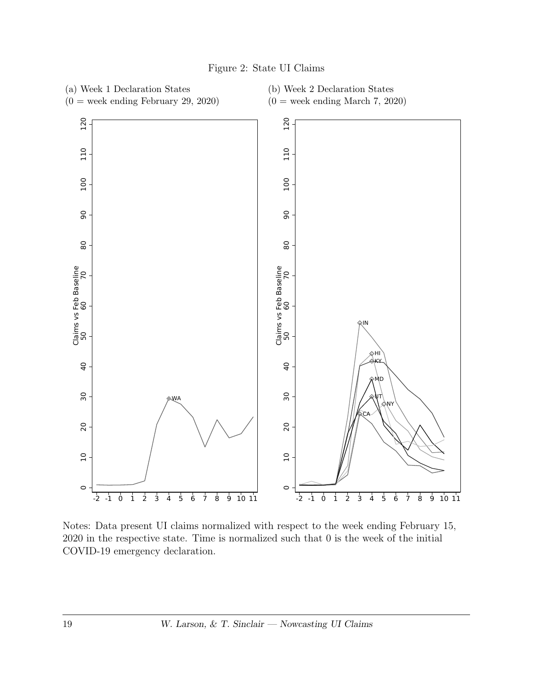<span id="page-20-0"></span>

Figure 2: State UI Claims

Notes: Data present UI claims normalized with respect to the week ending February 15, 2020 in the respective state. Time is normalized such that 0 is the week of the initial COVID-19 emergency declaration.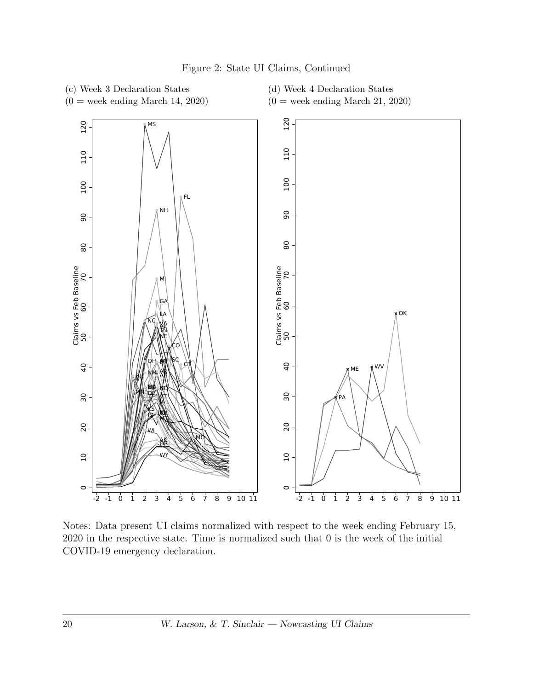

Figure 2: State UI Claims, Continued

Notes: Data present UI claims normalized with respect to the week ending February 15, 2020 in the respective state. Time is normalized such that 0 is the week of the initial COVID-19 emergency declaration.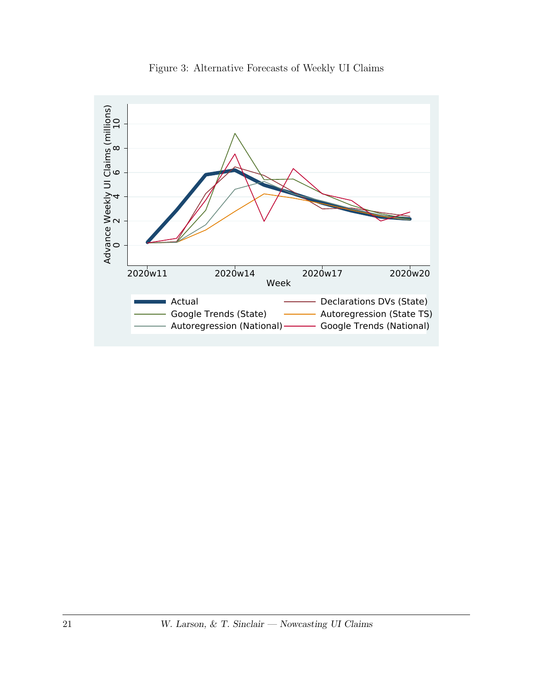<span id="page-22-0"></span>

Figure 3: Alternative Forecasts of Weekly UI Claims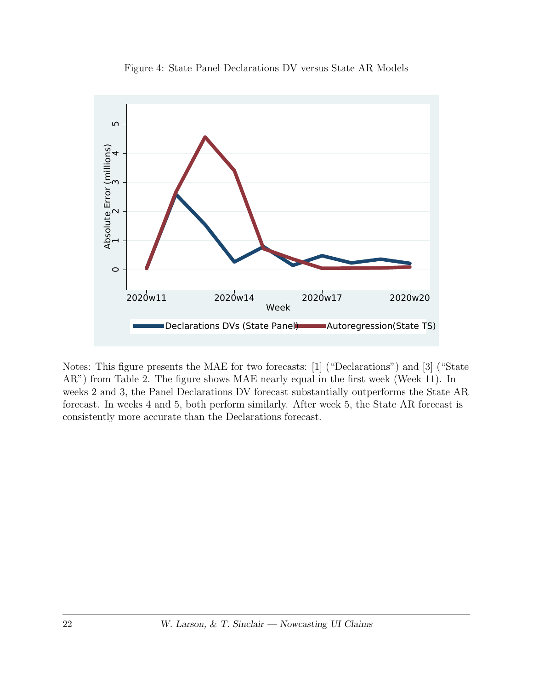



Notes: This figure presents the MAE for two forecasts: [1] ("Declarations") and [3] ("State AR") from Table [2.](#page-26-0) The figure shows MAE nearly equal in the first week (Week 11). In weeks 2 and 3, the Panel Declarations DV forecast substantially outperforms the State AR forecast. In weeks 4 and 5, both perform similarly. After week 5, the State AR forecast is consistently more accurate than the Declarations forecast.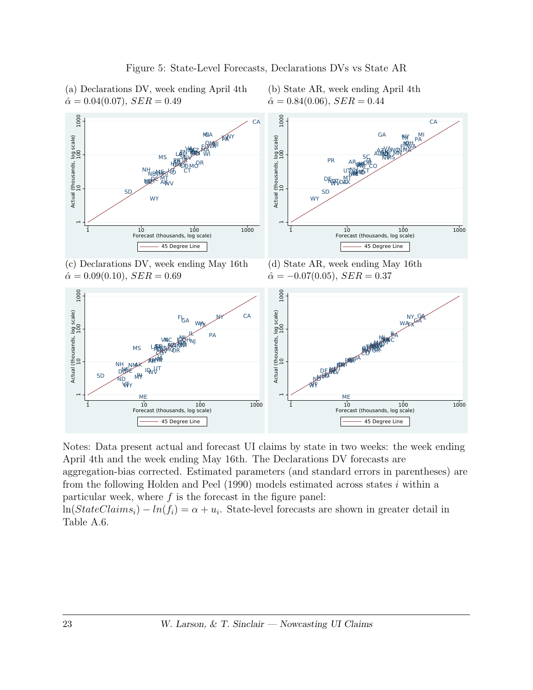

(b) State AR, week ending April 4th

 $\mathcal{O}_{\mathbf{R}}$  . The contract of the contract of the contract of the contract of the contract of the contract of the contract of the contract of the contract of the contract of the contract of the contract of the contract

TAIC MARCHAIL AND ALCOHOL SECTION AND ACCOUNT AND ACCOUNT AND ACCOUNT AND ACCOUNT AND ACCOUNT ACCOUNT ACCOUNT

AZ

ID

**RICHARD COMMUNICATION CONTINUES IN A STRAIGHT COMMUNICATION CONTINUES.** 

MAXX → The Contract of the Contract of the Contract of the Contract of the Contract of the Contract of the Con

LA MN CT

MD

With the contract of the contract of the contract of the contract of the contract of the contract of the contract of the contract of the contract of the contract of the contract of the contract of the contract of the contr

 $M_{\rm max}$   $\sim$ 

**NJNE DE LA CARDINAL DE LA CARDINAL DE LA CARDINAL DE LA CARDINAL DE LA CARDINAL DE LA CARDINAL DE LA CARDINAL** 

**ORK CONSTITUTION VALUE AND STRUCTURE OF A STRUCTURE OF A STRUCTURE OF A STRUCTURE OF A STRUCTURE OF A STRUCTURE OF A STRUCTURE** 

**SCHOOL** 

MARTIN COMPANY COMPANY OF THE COMPANY OF THE COMPANY OF THE COMPANY OF THE COMPANY OF THE COMPANY OF THE COMPANY OF THE COMPANY OF THE COMPANY OF THE COMPANY OF THE COMPANY OF THE COMPANY OF THE COMPANY OF THE COMPANY OF T

AZ

**MODULE** 

**OHANGER AND STRUCK AND STRUCK AND STRUCK AND STRUCK AND STRUCK AND STRUCK AND STRUCK AND STRUCK AND STRUCK AND STRUCK AND STRUCK AND STRUCK AND STRUCK AND STRUCK AND STRUCK AND STRUCK AND STRUCK AND STRUCK AND STRUCK AND** 

N MARINA DI SENATO DI STANDARI PRODUZI A PROPINCI A L'ANGLIA DI STANDARI PRODUZI A L'ANGLIA DI STANDARI PRODUZI<br>NGJI AMBANI NA MARINA NA MARINA NA MARINA NA MARINA NA MARINA NA MARINA NA MARINA NA MARINA NA MARINA NA MARIN

FOR OUR STREET OF THE CONTRACTOR CONTRACTOR

**COMPANY** 

 $\mathbb{R}$  ,  $\mathbb{R}$  ,  $\mathbb{R}$  ,  $\mathbb{R}$  ,  $\mathbb{R}$  ,  $\mathbb{R}$  ,  $\mathbb{R}$  ,  $\mathbb{R}$  ,  $\mathbb{R}$  ,  $\mathbb{R}$  ,  $\mathbb{R}$  ,  $\mathbb{R}$  ,  $\mathbb{R}$  ,  $\mathbb{R}$  ,  $\mathbb{R}$  ,  $\mathbb{R}$  ,  $\mathbb{R}$  ,  $\mathbb{R}$  ,  $\mathbb{R}$  ,  $\mathbb{R}$  ,

 $\blacksquare$  C and  $\blacksquare$  and  $\blacksquare$  and  $\blacksquare$  and  $\blacksquare$  and  $\blacksquare$  and  $\blacksquare$  and  $\blacksquare$  and  $\blacksquare$  and  $\blacksquare$  and  $\blacksquare$  and  $\blacksquare$  and  $\blacksquare$  and  $\blacksquare$  and  $\blacksquare$  and  $\blacksquare$  and  $\blacksquare$  and  $\blacksquare$  and  $\blacksquare$  and  $\blacksquare$  and

NVC CHARACTERS IN THE CONTRACT OF THE CONTRACT OF THE CONTRACT OF THE CONTRACT OF THE CONTRACT OF THE CONTRACT OF THE CONTRACT OF THE CONTRACT OF THE CONTRACT OF THE CONTRACT OF THE CONTRACT OF THE CONTRACT OF THE CONTRACT

**NH** 

The contract of the contract of the contract of the contract of the contract of the contract of the contract of the contract of the contract of the contract of the contract of the contract of the contract of the contract o  $\mathcal{I}$ A

**BIBY** and the contract of the contract of the contract of the contract of the contract of the contract of the contract of the contract of the contract of the contract of the contract of the contract of the contract of the

**KAN DESTRUCTION AND A CONTRACT AND A CONTRACT OF A CONTRACT OF A CONTRACT OF A CONTRACT OF A CONTRACT OF A CONTRACT OF A CONTRACT OF A CONTRACT OF A CONTRACT OF A CONTRACT OF A CONTRACT OF A CONTRACT OF A CONTRACT OF A CO** 

SEX PROPERTY AND RELEASED FOR THE CONTRACT CONTRACT CONTRACT CONTRACT CONTRACT CONTRACT CONTRACT CONTRACT CONT

**PRIDENTIAL CONTRACTOR** CONTRACTOR CONTRACTOR CONTRACTOR CONTRACTOR

**ARREST CONTINUES AND RESIDENCE AND RESIDENCE AND RESIDENCE AND RESIDENCE AND RESIDENCE AND RESIDENCE AND RESIDENCE AND RESIDENCE AND RESIDENCE AND RESIDENCE AND RESIDENCE AND RESIDENCE AND RESIDENCE AND RESIDENCE AND RESI** 

material contract the contract of the contract of the contract of the contract of the contract of the contract of the contract of the contract of the contract of the contract of the contract of the contract of the contract

**MARINE AND STRUCK COMMUNISTIC COMMUNIST COMMUNIST COMMUNIST COMMUNIST COMMUNIST COMMUNIST COMMUNIST COMMUNIST** 

**DOMEV' DESCRIPTION OF A SECOND CONTRACT OF A SECOND CONTRACT OF A SECOND CONTRACT OF A SECOND CONTRACT OF A SECOND CONTRACT OF A SECOND CONTRACT OF A SECOND CONTRACT OF A SECOND CONTRACT OF A SECOND CONTRACT OF A SECOND** 

1 10 100 1000 1000 45 Degree Line

KS<sup>IA</sup>

**ANKH** 

WWW. The contract of the contract of the contract of the contract of the contract of the contract of the contract of the contract of the contract of the contract of the contract of the contract of the contract of the contr

**ALTRES CONTRACTORS IN A STRUCK CONTRACTOR CONTRACTORS OF A STRUCK CONTRACTORS OF A STRUCK CONTRACTORS OF A ST** 

**NEWS AREA CONTRACTED AND RELEASED FOR A STATE OF A STATE OF A STATE OF A STATE OF A STATE OF A STATE OF A STATE OF A STATE OF A STATE OF A STATE OF A STATE OF A STATE OF A STATE OF A STATE OF A STATE OF A STATE OF A STATE** 

ME **ME** 

рустановки последник последник и производственности и производственности и производственности и производственн<br>Последник последник последник последник последник последник последник последник последник последник последник

DE BARA DE LA CONTENTA DE LA CONTENTA DE LA CONTENTA DE LA CONTENTA DE LA CONTENTA DE LA CONTENTA DE LA CONTEN

WY **WARRANT COMMUNISTIES** 

 $\mathcal{N}\nabla$ 

(Wi-H<sub>N)</sub> (Wi-Marchine) 등 1999년 - 1999년 - 1999년 - 1999년 - 1999년 - 1999년 - 1999년 - 1999년 - 1999년 - 1999년 - 1999년 - 1999년 - 1999년 - 1999년 - 1999년 - 1999년 - 1999년 - 1999년 - 1999년 - 1999년 - 1999년 - 1999년 - 1999년 - 1999년 - 19

 $\frac{1}{\sqrt{N}}$ 

**HIP** And the second contract of the second contract of the second contract of the second contract of the second contract of the second contract of the second contract of the second contract of the second contract of the s

 $\epsilon$  or  $\epsilon$  and  $\epsilon$  is the set of  $\epsilon$  and  $\epsilon$  and  $\epsilon$  and  $\epsilon$  and  $\epsilon$  and  $\epsilon$  and  $\epsilon$  and  $\epsilon$  and  $\epsilon$  and  $\epsilon$  and  $\epsilon$  and  $\epsilon$  and  $\epsilon$  and  $\epsilon$  and  $\epsilon$  and  $\epsilon$  and  $\epsilon$  and  $\epsilon$  and  $\epsilon$  and  $\epsilon$  and  $\epsilon$ 

- BALANCARP 1999 - 1999 - 1999 - 1999 - 1999 - 1999 - 1999 - 1999 - 1999 - 1999 - 1999 - 1999 - 1999 - 1999 - <br>MOOR - 1999 - 1999 - 1999 - 1999 - 1999 - 1999 - 1999 - 1999 - 1999 - 1999 - 1999 - 1999 - 1999 - 1999 - 1999

VAC ‱XXXH<sub>NI</sub> en el seu de la construcción de la construcción de la construcción de la construcción de la construcción de la construcción de la construcción de la construcción de la construcción de la construcción de la c અસ્થિપ પ્રદાન કરવામાં આવેલા કુલ કરવામાં આવેલા આવેલા આવેલા આવેલા આવેલા આવેલા આવેલા આવેલા આવેલા આવેલા આવેલા આવેલ<br>આ ગામમાં આવેલા આવેલા આવેલા આ ગામમાં આવેલા આવેલા આવેલા આવેલા આવેલા આવેલા આવેલા આવેલા આવેલા આવેલા આવેલા આવેલા આ

KWA HALL AND A SHOP AND A CHARLES AND A CHARLES AND A CHARLES AND A CHARLES AND A CHARLES AND A CHARLES AND A C

ты до постановите на селото на селото на селото на селото на селото на селото на селото на селото на селото на<br>Токато на селото на селото на селото на селото на селото на селото на селото на селото на селото на селото на  $\mathbb{P}_{\mathbf{C}}$  and  $\mathbb{P}_{\mathbf{C}}$  and  $\mathbb{P}_{\mathbf{C}}$  and  $\mathbb{P}_{\mathbf{C}}$  and  $\mathbb{P}_{\mathbf{C}}$  and  $\mathbb{P}_{\mathbf{C}}$  and  $\mathbb{P}_{\mathbf{C}}$  and  $\mathbb{P}_{\mathbf{C}}$  and  $\mathbb{P}_{\mathbf{C}}$  and  $\mathbb{P}_{\mathbf{C}}$  and  $\mathbb{P}_{\mathbf{C}}$  and  $\mathbb{P}_{\mathbf{C$ 

NH

Forecast (thousands, log scale) Forecast (thousands, log scale)

PR

 $\mathsf{AR}^\mathsf{RFBF}$  . The contract of  $\mathsf{A}\subseteq \mathsf{A}$  is a set of  $\mathsf{A}\mathsf{R}\mathsf{R}\mathsf{R}^\mathsf{P}$  , we can contract the contract of  $\mathsf{A}\mathsf{R}\mathsf{R}\mathsf{R}^\mathsf{P}$  $\sim$  SC  $\sim$  SC  $\sim$  SC  $\sim$  SC  $\sim$  SC  $\sim$  SC  $\sim$  SC  $\sim$  SC  $\sim$  SC  $\sim$  SC  $\sim$  SC  $\sim$  SC  $\sim$  SC  $\sim$  SC  $\sim$  SC  $\sim$  SC  $\sim$  SC  $\sim$  SC  $\sim$  SC  $\sim$  SC  $\sim$  SC  $\sim$  SC  $\sim$  SC  $\sim$  SC  $\sim$  SC  $\sim$  SC  $\sim$  SC  $\sim$ 

WV

 $\sum_{i=1}^{\infty}$  and  $\sum_{i=1}^{\infty}$  and  $\sum_{i=1}^{\infty}$  and  $\sum_{i=1}^{\infty}$  and  $\sum_{i=1}^{\infty}$  and  $\sum_{i=1}^{\infty}$  and  $\sum_{i=1}^{\infty}$  and  $\sum_{i=1}^{\infty}$  and  $\sum_{i=1}^{\infty}$  and  $\sum_{i=1}^{\infty}$  and  $\sum_{i=1}^{\infty}$  and  $\sum_{i=1}^{\infty$ 

DC

SD and the state of the state of the state of the state of the state of the state of the state of the state of the state of the state of the state of the state of the state of the state of the state of the state of the sta

45 Degree Line

AK

ME SERVICE IN THE METRO SERVICE SERVICE SERVICE SERVICE SERVICE SERVICE SERVICE SERVICE SERVICE SERVICE SERVICE SERVICE SERVICE SERVICE SERVICE SERVICE SERVICE SERVICE SERVICE SERVICE SERVICE SERVICE SERVICE SERVICE SERVI

k<del>need</del> the contract of the contract of the contract of the contract of the contract of the contract of the contract of the contract of the contract of the contract of the contract of the contract of the contract of the c

 $\mathcal{M}_{\mathbf{A}}$  and the control of  $\mathcal{M}_{\mathbf{A}}$  and  $\mathcal{M}_{\mathbf{A}}$  and  $\mathcal{M}_{\mathbf{A}}$  and  $\mathcal{M}_{\mathbf{A}}$  and  $\mathcal{M}_{\mathbf{A}}$  and  $\mathcal{M}_{\mathbf{A}}$  and  $\mathcal{M}_{\mathbf{A}}$  and  $\mathcal{M}_{\mathbf{A}}$  and  $\mathcal{M}_{\mathbf{A}}$  and  $\mathcal{M}_{\mathbf{A}}$  a

ゆど ID<sub>V</sub>V)' しんしょう しんしょう こうしん こうしん こうしん こうしょう こうしん こうしん こうしん こうしん こうしん こうしょう こうしん こうしん こうしん こうしん こうしん

WADEX IDAWA INTERNATIONAL COMMUNICATION AND THE RELEASED DE MANAGEMENT COMMUNICATION CONTINUES INTO A CONTINUES

where the contract of the contract of the contract of the contract of the contract of the contract of the contract of the contract of the contract of the contract of the contract of the contract of the contract of the cont

VITY THE CONTROL OF THE CONTROL OF THE CONTROL OF THE CONTROL OF THE CONTROL OF THE CONTROL OF THE CONTROL OF THE CONTROL OF THE CONTROL OF THE CONTROL OF THE CONTROL OF THE CONTROL OF THE CONTROL OF THE CONTROL OF THE CON

**ALTERNATION COMMUNICATION COMMUNICATION COMMUNICATION CONTINUES. AND ALTERNATION COMMUNICATION COMMUNICATION COMMUNICATION** 

MS LANGUARGHOW PRESERVED TO DESCRIPTION TO THE CONTROL CONTROL CONTROL CONTROL CONTROL CONTROL CONTROL CONTROL CONTROL CONTROL CONTROL CONTROL CONTROL CONTROL CONTROL CONTROL CONTROL CONTROL CONTROL CONTROL CONTROL CONTRO

<span id="page-24-0"></span>(a) Declarations DV, week ending April 4th  $\hat{\alpha} = 0.04(0.07), \, SER = 0.49$ 



WAS A REPORTED THE RESIDENCE OF THE RESIDENCE OF THE RESIDENCE OF THE RESIDENCE OF THE RESIDENCE OF THE RESIDENCE OF THE RESIDENCE OF THE RESIDENCE OF THE RESIDENCE OF THE RESIDENCE OF THE RESIDENCE OF THE RESIDENCE OF THE

 $100$   $100$   $1000$   $1000$   $1000$   $1000$   $1000$   $1000$   $1000$   $1000$   $1000$ 

NJ

 $M_{\rm H}$   $M_{\rm H}$   $M_{\rm H}$   $M_{\rm H}$   $M_{\rm H}$   $M_{\rm H}$   $M_{\rm H}$   $M_{\rm H}$   $M_{\rm H}$   $M_{\rm H}$   $M_{\rm H}$   $M_{\rm H}$   $M_{\rm H}$   $M_{\rm H}$   $M_{\rm H}$   $M_{\rm H}$   $M_{\rm H}$   $M_{\rm H}$   $M_{\rm H}$   $M_{\rm H}$   $M_{\rm H}$   $M_{\rm H}$   $M_{\rm H}$   $M_{\rm H}$   $M_{\rm$ 

Notes: Data present actual and forecast UI claims by state in two weeks: the week ending April 4th and the week ending May 16th. The Declarations DV forecasts are aggregation-bias corrected. Estimated parameters (and standard errors in parentheses) are from the following [Holden and Peel](#page-17-14)  $(1990)$  models estimated across states i within a particular week, where  $f$  is the forecast in the figure panel:  $ln(StateClains_i) - ln(f_i) = \alpha + u_i$ . State-level forecasts are shown in greater detail in

RI

1988 - Contra Contra Contra Contra Contra Contra Contra Contra Contra Contra Contra Contra Contra Contra Contr

–

Table [A.6.](#page-33-0)

 $\mathbf -$ 

–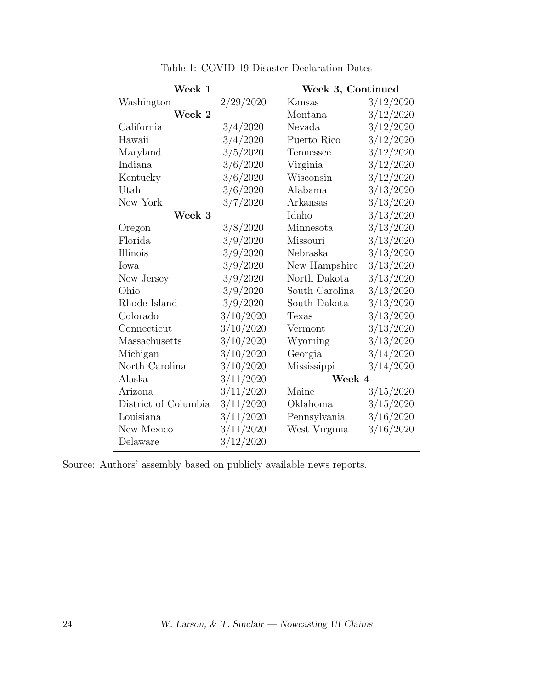| Week 1               |           | Week 3, Continued |           |  |  |  |
|----------------------|-----------|-------------------|-----------|--|--|--|
| Washington           | 2/29/2020 | Kansas            | 3/12/2020 |  |  |  |
| Week 2               |           | Montana           | 3/12/2020 |  |  |  |
| California           | 3/4/2020  | Nevada            | 3/12/2020 |  |  |  |
| Hawaii               | 3/4/2020  | Puerto Rico       | 3/12/2020 |  |  |  |
| Maryland             | 3/5/2020  | Tennessee         | 3/12/2020 |  |  |  |
| Indiana              | 3/6/2020  | Virginia          | 3/12/2020 |  |  |  |
| Kentucky             | 3/6/2020  | Wisconsin         | 3/12/2020 |  |  |  |
| Utah                 | 3/6/2020  | Alabama           | 3/13/2020 |  |  |  |
| New York             | 3/7/2020  | Arkansas          | 3/13/2020 |  |  |  |
| Week 3               |           | Idaho             | 3/13/2020 |  |  |  |
| Oregon               | 3/8/2020  | Minnesota         | 3/13/2020 |  |  |  |
| Florida              | 3/9/2020  | Missouri          | 3/13/2020 |  |  |  |
| Illinois             | 3/9/2020  | Nebraska          | 3/13/2020 |  |  |  |
| Iowa                 | 3/9/2020  | New Hampshire     | 3/13/2020 |  |  |  |
| New Jersey           | 3/9/2020  | North Dakota      | 3/13/2020 |  |  |  |
| Ohio                 | 3/9/2020  | South Carolina    | 3/13/2020 |  |  |  |
| Rhode Island         | 3/9/2020  | South Dakota      | 3/13/2020 |  |  |  |
| Colorado             | 3/10/2020 | Texas             | 3/13/2020 |  |  |  |
| Connecticut          | 3/10/2020 | Vermont           | 3/13/2020 |  |  |  |
| Massachusetts        | 3/10/2020 | Wyoming           | 3/13/2020 |  |  |  |
| Michigan             | 3/10/2020 | Georgia           | 3/14/2020 |  |  |  |
| North Carolina       | 3/10/2020 | Mississippi       | 3/14/2020 |  |  |  |
| Alaska               | 3/11/2020 | Week 4            |           |  |  |  |
| Arizona              | 3/11/2020 | Maine             | 3/15/2020 |  |  |  |
| District of Columbia | 3/11/2020 | Oklahoma          | 3/15/2020 |  |  |  |
| Louisiana            | 3/11/2020 | Pennsylvania      | 3/16/2020 |  |  |  |
| New Mexico           | 3/11/2020 | West Virginia     | 3/16/2020 |  |  |  |
| Delaware             | 3/12/2020 |                   |           |  |  |  |

Table 1: COVID-19 Disaster Declaration Dates

Source: Authors' assembly based on publicly available news reports.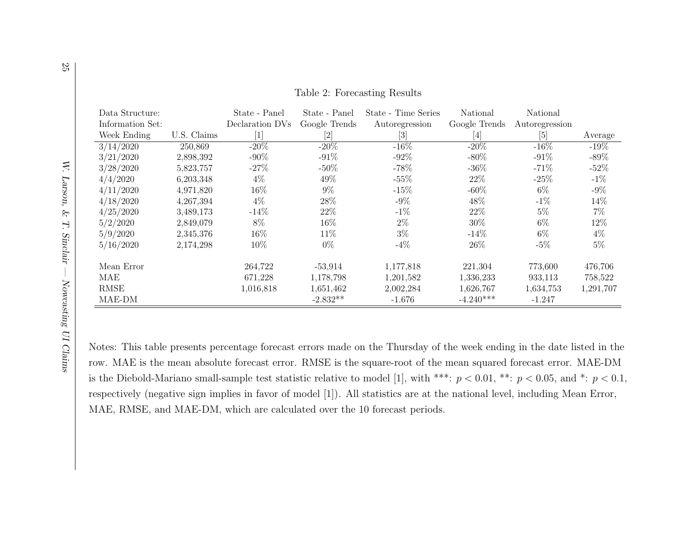| Data Structure:  |             | State - Panel                | State - Panel | State - Time Series                                                                                                                                                                  | National                                                                                                                                                                                                                                                                                                                                                                                                                                                                                                                                                                                                                                                                   | National        |           |
|------------------|-------------|------------------------------|---------------|--------------------------------------------------------------------------------------------------------------------------------------------------------------------------------------|----------------------------------------------------------------------------------------------------------------------------------------------------------------------------------------------------------------------------------------------------------------------------------------------------------------------------------------------------------------------------------------------------------------------------------------------------------------------------------------------------------------------------------------------------------------------------------------------------------------------------------------------------------------------------|-----------------|-----------|
| Information Set: |             | Declaration DVs              | Google Trends | Autoregression                                                                                                                                                                       | Google Trends                                                                                                                                                                                                                                                                                                                                                                                                                                                                                                                                                                                                                                                              | Autoregression  |           |
| Week Ending      | U.S. Claims | $\left\lceil 1 \right\rceil$ | $[2]$         | $[3] % \includegraphics[width=0.9\columnwidth]{figures/fig_0a.pdf} \caption{Schematic diagram of the top of the top of the top of the top of the top of the right.} \label{fig:1} %$ | $[4] % \includegraphics[width=0.9\columnwidth]{figures/fig_4} \caption{A graph shows a function of the parameter M and the parameter M in the interval M and the parameter M is the number of parameters. The number of parameters are shown in Fig. \ref{fig:10}. The number of parameters are shown in Fig. \ref{fig:10}. The number of parameters are shown in Fig. \ref{fig:11}. The number of parameters are shown in Fig. \ref{fig:11}. The number of parameters are shown in Fig. \ref{fig:11}. The number of parameters are shown in Fig. \ref{fig:12}. The number of parameters are shown in Fig. \ref{fig:13}. The number of parameters are shown in Fig. \ref{$ | $\vert 5 \vert$ | Average   |
| 3/14/2020        | 250,869     | $-20\%$                      | $-20\%$       | $-16\%$                                                                                                                                                                              | $-20%$                                                                                                                                                                                                                                                                                                                                                                                                                                                                                                                                                                                                                                                                     | $-16\%$         | $-19\%$   |
| 3/21/2020        | 2,898,392   | $-90\%$                      | $-91%$        | $-92%$                                                                                                                                                                               | $-80\%$                                                                                                                                                                                                                                                                                                                                                                                                                                                                                                                                                                                                                                                                    | $-91\%$         | $-89\%$   |
| 3/28/2020        | 5,823,757   | $-27%$                       | $-50\%$       | $-78%$                                                                                                                                                                               | $-36%$                                                                                                                                                                                                                                                                                                                                                                                                                                                                                                                                                                                                                                                                     | $-71\%$         | $-52\%$   |
| 4/4/2020         | 6,203,348   | $4\%$                        | 49%           | $-55%$                                                                                                                                                                               | 22\%                                                                                                                                                                                                                                                                                                                                                                                                                                                                                                                                                                                                                                                                       | $-25%$          | $-1\%$    |
| 4/11/2020        | 4,971,820   | 16%                          | $9\%$         | $-15%$                                                                                                                                                                               | $-60\%$                                                                                                                                                                                                                                                                                                                                                                                                                                                                                                                                                                                                                                                                    | $6\%$           | $-9\%$    |
| 4/18/2020        | 4,267,394   | $4\%$                        | 28\%          | $-9\%$                                                                                                                                                                               | 48%                                                                                                                                                                                                                                                                                                                                                                                                                                                                                                                                                                                                                                                                        | $-1\%$          | 14%       |
| 4/25/2020        | 3,489,173   | $-14%$                       | 22\%          | $-1\%$                                                                                                                                                                               | 22\%                                                                                                                                                                                                                                                                                                                                                                                                                                                                                                                                                                                                                                                                       | $5\%$           | $7\%$     |
| 5/2/2020         | 2,849,079   | 8%                           | $16\%$        | $2\%$                                                                                                                                                                                | 30%                                                                                                                                                                                                                                                                                                                                                                                                                                                                                                                                                                                                                                                                        | $6\%$           | 12%       |
| 5/9/2020         | 2,345,376   | 16%                          | 11\%          | $3\%$                                                                                                                                                                                | $-14%$                                                                                                                                                                                                                                                                                                                                                                                                                                                                                                                                                                                                                                                                     | $6\%$           | $4\%$     |
| 5/16/2020        | 2,174,298   | 10%                          | $0\%$         | $-4\%$                                                                                                                                                                               | 26\%                                                                                                                                                                                                                                                                                                                                                                                                                                                                                                                                                                                                                                                                       | $-5\%$          | $5\%$     |
| Mean Error       |             | 264,722                      | $-53,914$     | 1,177,818                                                                                                                                                                            | 221,304                                                                                                                                                                                                                                                                                                                                                                                                                                                                                                                                                                                                                                                                    | 773,600         | 476,706   |
| MAE              |             | 671,228                      | 1,178,798     | 1,201,582                                                                                                                                                                            | 1,336,233                                                                                                                                                                                                                                                                                                                                                                                                                                                                                                                                                                                                                                                                  | 933,113         | 758,522   |
| <b>RMSE</b>      |             | 1,016,818                    | 1,651,462     | 2,002,284                                                                                                                                                                            | 1,626,767                                                                                                                                                                                                                                                                                                                                                                                                                                                                                                                                                                                                                                                                  | 1,634,753       | 1,291,707 |
| MAE-DM           |             |                              | $-2.832**$    | $-1.676$                                                                                                                                                                             | $-4.240***$                                                                                                                                                                                                                                                                                                                                                                                                                                                                                                                                                                                                                                                                | $-1.247$        |           |

<span id="page-26-1"></span>Table 2: Forecasting Results

Notes: This table presents percentage forecast errors made on the Thursday of the week ending in the date listed in therow. MAE is the mean absolute forecast error. RMSE is the square-root of the mean squared forecast error. MAE-DMis the Diebold-Mariano small-sample test statistic relative to model [1], with \*\*\*:  $p < 0.01$ , \*\*:  $p < 0.05$ , and \*:  $p < 0.1$ , respectively (negative sign implies in favor of model [1]). All statistics are at the national level, including Mean Error,MAE, RMSE, and MAE-DM, which are calculated over the 10 forecast periods.

<span id="page-26-0"></span>25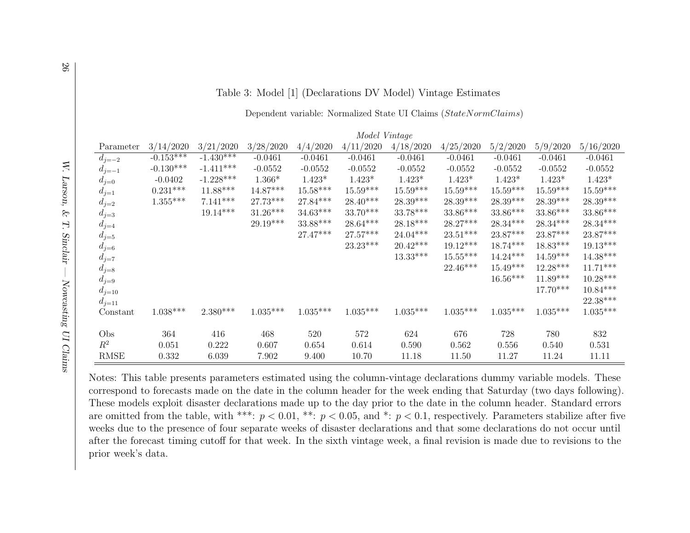| Table 3: Model [1] (Declarations DV Model) Vintage Estimate |  |  |  |  |  |  |  |  |
|-------------------------------------------------------------|--|--|--|--|--|--|--|--|
|-------------------------------------------------------------|--|--|--|--|--|--|--|--|

Dependent variable: Normalized State UI Claims (StateNormClaims)

|             |             |             |            |            | Model Vintage |            |            |            |            |            |
|-------------|-------------|-------------|------------|------------|---------------|------------|------------|------------|------------|------------|
| Parameter   | 3/14/2020   | 3/21/2020   | 3/28/2020  | 4/4/2020   | 4/11/2020     | 4/18/2020  | 4/25/2020  | 5/2/2020   | 5/9/2020   | 5/16/2020  |
| $d_{j=-2}$  | $-0.153***$ | $-1.430***$ | $-0.0461$  | $-0.0461$  | $-0.0461$     | $-0.0461$  | $-0.0461$  | $-0.0461$  | $-0.0461$  | $-0.0461$  |
| $d_{j=-1}$  | $-0.130***$ | $-1.411***$ | $-0.0552$  | $-0.0552$  | $-0.0552$     | $-0.0552$  | $-0.0552$  | $-0.0552$  | $-0.0552$  | $-0.0552$  |
| $d_{j=0}$   | $-0.0402$   | $-1.228***$ | $1.366*$   | $1.423*$   | $1.423*$      | $1.423*$   | $1.423*$   | $1.423*$   | $1.423*$   | $1.423*$   |
| $d_{j=1}$   | $0.231***$  | $11.88***$  | $14.87***$ | $15.58***$ | $15.59***$    | $15.59***$ | $15.59***$ | $15.59***$ | $15.59***$ | $15.59***$ |
| $d_{j=2}$   | $1.355***$  | $7.141***$  | $27.73***$ | $27.84***$ | $28.40***$    | $28.39***$ | $28.39***$ | $28.39***$ | $28.39***$ | $28.39***$ |
| $d_{j=3}$   |             | $19.14***$  | $31.26***$ | $34.63***$ | $33.70***$    | $33.78***$ | $33.86***$ | $33.86***$ | $33.86***$ | $33.86***$ |
| $d_{j=4}$   |             |             | $29.19***$ | 33.88***   | $28.64***$    | $28.18***$ | $28.27***$ | $28.34***$ | $28.34***$ | $28.34***$ |
| $d_{j=5}$   |             |             |            | $27.47***$ | $27.57***$    | $24.04***$ | $23.51***$ | $23.87***$ | $23.87***$ | $23.87***$ |
| $d_{j=6}$   |             |             |            |            | $23.23***$    | $20.42***$ | $19.12***$ | $18.74***$ | $18.83***$ | $19.13***$ |
| $d_{j=7}$   |             |             |            |            |               | $13.33***$ | $15.55***$ | $14.24***$ | $14.59***$ | $14.38***$ |
| $d_{j=8}$   |             |             |            |            |               |            | $22.46***$ | $15.49***$ | $12.28***$ | $11.71***$ |
| $d_{j=9}$   |             |             |            |            |               |            |            | $16.56***$ | $11.89***$ | $10.28***$ |
| $d_{j=10}$  |             |             |            |            |               |            |            |            | $17.70***$ | $10.84***$ |
| $d_{j=11}$  |             |             |            |            |               |            |            |            |            | 22.38***   |
| Constant    | $1.038***$  | $2.380***$  | $1.035***$ | $1.035***$ | $1.035***$    | $1.035***$ | $1.035***$ | $1.035***$ | $1.035***$ | $1.035***$ |
|             |             |             |            |            |               |            |            |            |            |            |
| Obs         | 364         | 416         | 468        | 520        | 572           | 624        | 676        | 728        | 780        | 832        |
| $R^2$       | 0.051       | 0.222       | 0.607      | 0.654      | 0.614         | 0.590      | 0.562      | 0.556      | 0.540      | 0.531      |
| <b>RMSE</b> | 0.332       | 6.039       | 7.902      | 9.400      | 10.70         | 11.18      | 11.50      | 11.27      | 11.24      | 11.11      |

<span id="page-27-0"></span>Notes: This table presents parameters estimated using the column-vintage declarations dummy variable models. These correspond to forecasts made on the date in the column header for the week ending that Saturday (two days following).These models exploit disaster declarations made up to the day prior to the date in the column header. Standard errorsare omitted from the table, with \*\*\*:  $p < 0.01$ , \*\*:  $p < 0.05$ , and \*:  $p < 0.1$ , respectively. Parameters stabilize after five weeks due to the presence of four separate weeks of disaster declarations and that some declarations do not occur until after the forecast timing cutoff for that week. In the sixth vintage week, <sup>a</sup> final revision is made due to revisions to theprior week's data.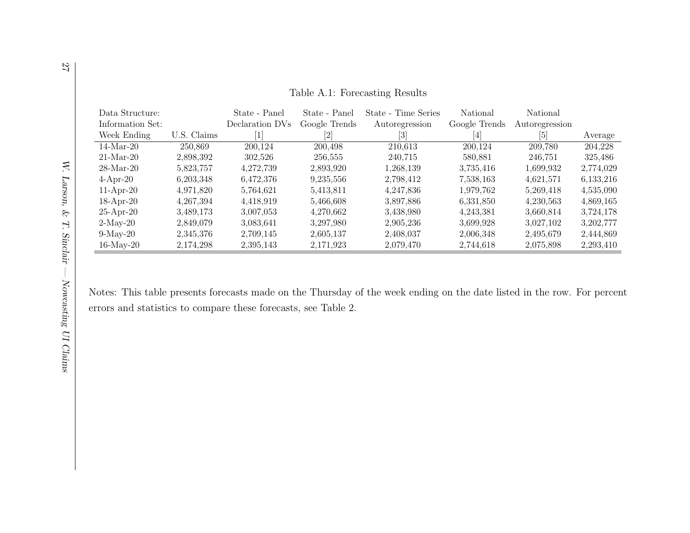| Data Structure:  |             | State - Panel   | State - Panel | State - Time Series | National                                                                                                                                                                                                                                                                                                                                                                                                                                                                                            | National       |           |
|------------------|-------------|-----------------|---------------|---------------------|-----------------------------------------------------------------------------------------------------------------------------------------------------------------------------------------------------------------------------------------------------------------------------------------------------------------------------------------------------------------------------------------------------------------------------------------------------------------------------------------------------|----------------|-----------|
| Information Set: |             | Declaration DVs | Google Trends | Autoregression      | Google Trends                                                                                                                                                                                                                                                                                                                                                                                                                                                                                       | Autoregression |           |
| Week Ending      | U.S. Claims |                 |               | $\lvert 3 \rvert$   | $[4] % \includegraphics[width=0.9\columnwidth]{figures/fig_4} \caption{A$_{4$}F_4$ for the $4$~\mbox{\textsterling}C$ for the $4$~\mbox{\textsterling}C$ for the $4$~\mbox{\textsterling}C$ for the $4$~\mbox{\textsterling}C$ for the $4$~\mbox{\textsterling}C$ for the $4$~\mbox{\textsterling}C$ for the $4$~\mbox{\textsterling}C$ for the $4$~\mbox{\textsterling}C$ for the $4$~\mbox{\textsterling}C$ for the $4$~\mbox{\textsterling}C$ for the $4$~\mbox{\textsterling}C$ for the $4$~\m$ |                | Average   |
| $14-Mar-20$      | 250.869     | 200,124         | 200,498       | 210,613             | 200.124                                                                                                                                                                                                                                                                                                                                                                                                                                                                                             | 209,780        | 204.228   |
| $21-Mar-20$      | 2,898,392   | 302.526         | 256,555       | 240.715             | 580.881                                                                                                                                                                                                                                                                                                                                                                                                                                                                                             | 246,751        | 325,486   |
| $28$ -Mar-20     | 5,823,757   | 4,272,739       | 2.893.920     | 1,268,139           | 3,735,416                                                                                                                                                                                                                                                                                                                                                                                                                                                                                           | 1,699,932      | 2,774,029 |
| $4-Apr-20$       | 6.203.348   | 6,472,376       | 9,235,556     | 2,798,412           | 7,538,163                                                                                                                                                                                                                                                                                                                                                                                                                                                                                           | 4,621,571      | 6,133,216 |
| $11-Apr-20$      | 4.971.820   | 5.764.621       | 5.413.811     | 4.247.836           | 1.979.762                                                                                                                                                                                                                                                                                                                                                                                                                                                                                           | 5,269,418      | 4,535,090 |
| $18-Apr-20$      | 4, 267, 394 | 4,418,919       | 5,466,608     | 3,897,886           | 6,331,850                                                                                                                                                                                                                                                                                                                                                                                                                                                                                           | 4,230,563      | 4,869,165 |
| $25-Apr-20$      | 3,489,173   | 3,007,053       | 4,270,662     | 3,438,980           | 4.243.381                                                                                                                                                                                                                                                                                                                                                                                                                                                                                           | 3,660,814      | 3,724,178 |
| $2$ -May-20      | 2,849,079   | 3,083,641       | 3,297,980     | 2,905,236           | 3,699,928                                                                                                                                                                                                                                                                                                                                                                                                                                                                                           | 3,027,102      | 3,202,777 |
| $9-May-20$       | 2.345.376   | 2.709.145       | 2.605.137     | 2,408,037           | 2,006,348                                                                                                                                                                                                                                                                                                                                                                                                                                                                                           | 2.495.679      | 2.444.869 |
| $16$ -May-20     | 2,174,298   | 2,395,143       | 2,171,923     | 2,079,470           | 2,744,618                                                                                                                                                                                                                                                                                                                                                                                                                                                                                           | 2,075,898      | 2,293,410 |

Table A.1: Forecasting Results

Notes: This table presents forecasts made on the Thursday of the week ending on the date listed in the row. For percenterrors and statistics to compare these forecasts, see Table [2.](#page-26-1)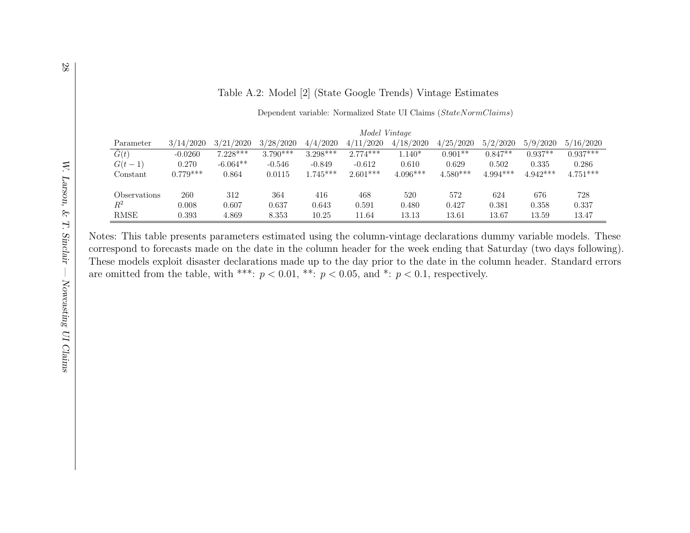#### Table A.2: Model [2] (State Google Trends) Vintage Estimates

#### Dependent variable: Normalized State UI Claims (StateNormClaims)

|                |            | Model Vintage |            |            |            |            |            |           |            |            |  |
|----------------|------------|---------------|------------|------------|------------|------------|------------|-----------|------------|------------|--|
| Parameter      | 3/14/2020  | 3/21/2020     | 3/28/2020  | 4/4/2020   | 4/11/2020  | 4/18/2020  | 4/25/2020  | 5/2/2020  | 5/9/2020   | 5/16/2020  |  |
| $\tilde{G}(t)$ | $-0.0260$  | $7.228***$    | $3.790***$ | $3.298***$ | $2.774***$ | $1.140*$   | $0.901**$  | $0.847**$ | $0.937**$  | $0.937***$ |  |
| $G(t-1)$       | 0.270      | $-6.064**$    | $-0.546$   | $-0.849$   | $-0.612$   | 0.610      | 0.629      | 0.502     | 0.335      | 0.286      |  |
| Constant       | $0.779***$ | 0.864         | 0.0115     | $1.745***$ | $2.601***$ | $4.096***$ | $4.580***$ | 4.994***  | $4.942***$ | $4.751***$ |  |
|                |            |               |            |            |            |            |            |           |            |            |  |
| Observations   | 260        | 312           | 364        | 416        | 468        | 520        | 572        | 624       | 676        | 728        |  |
| $R^2$          | 0.008      | 0.607         | 0.637      | 0.643      | 0.591      | 0.480      | 0.427      | 0.381     | 0.358      | 0.337      |  |
| <b>RMSE</b>    | 0.393      | 4.869         | 8.353      | 10.25      | 11.64      | 13.13      | 13.61      | 13.67     | 13.59      | 13.47      |  |

Notes: This table presents parameters estimated using the column-vintage declarations dummy variable models. These correspond to forecasts made on the date in the column header for the week ending that Saturday (two days following).These models exploit disaster declarations made up to the day prior to the date in the column header. Standard errorsare omitted from the table, with \*\*\*:  $p < 0.01$ , \*\*:  $p < 0.05$ , and \*:  $p < 0.1$ , respectively.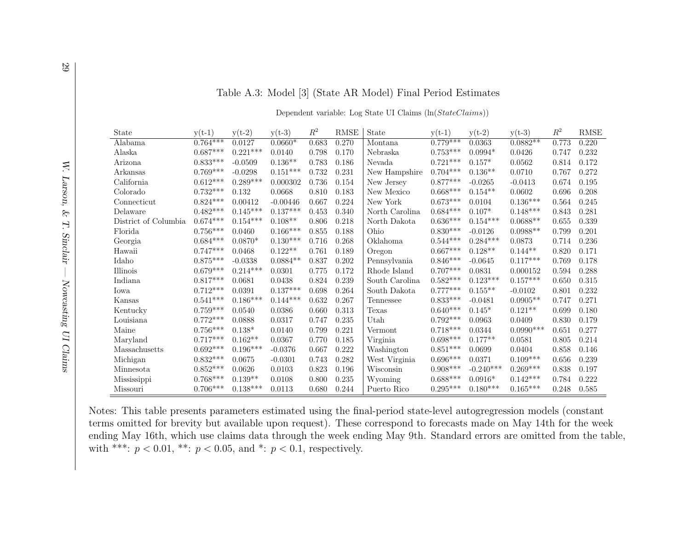| State                | $y(t-1)$   | $y(t-2)$   | $y(t-3)$   | $R^2$ | <b>RMSE</b> | State          | $y(t-1)$   | $y(t-2)$    | $y(t-3)$    | $R^2$ | <b>RMSE</b> |
|----------------------|------------|------------|------------|-------|-------------|----------------|------------|-------------|-------------|-------|-------------|
| Alabama              | $0.764***$ | 0.0127     | $0.0660*$  | 0.683 | 0.270       | Montana        | $0.779***$ | 0.0363      | $0.0882**$  | 0.773 | 0.220       |
| Alaska               | $0.687***$ | $0.221***$ | 0.0140     | 0.798 | 0.170       | Nebraska       | $0.753***$ | $0.0994*$   | 0.0426      | 0.747 | 0.232       |
| Arizona              | $0.833***$ | $-0.0509$  | $0.136**$  | 0.783 | 0.186       | Nevada         | $0.721***$ | $0.157*$    | 0.0562      | 0.814 | 0.172       |
| Arkansas             | $0.769***$ | $-0.0298$  | $0.151***$ | 0.732 | 0.231       | New Hampshire  | $0.704***$ | $0.136**$   | 0.0710      | 0.767 | 0.272       |
| California           | $0.612***$ | $0.289***$ | 0.000302   | 0.736 | 0.154       | New Jersey     | $0.877***$ | $-0.0265$   | $-0.0413$   | 0.674 | 0.195       |
| Colorado             | $0.732***$ | 0.132      | 0.0668     | 0.810 | 0.183       | New Mexico     | $0.668***$ | $0.154**$   | 0.0602      | 0.696 | 0.208       |
| Connecticut          | $0.824***$ | 0.00412    | $-0.00446$ | 0.667 | 0.224       | New York       | $0.673***$ | 0.0104      | $0.136***$  | 0.564 | 0.245       |
| Delaware             | $0.482***$ | $0.145***$ | $0.137***$ | 0.453 | 0.340       | North Carolina | $0.684***$ | $0.107*$    | $0.148***$  | 0.843 | 0.281       |
| District of Columbia | $0.674***$ | $0.154***$ | $0.108**$  | 0.806 | 0.218       | North Dakota   | $0.636***$ | $0.154***$  | $0.0688**$  | 0.655 | 0.339       |
| Florida              | $0.756***$ | 0.0460     | $0.166***$ | 0.855 | 0.188       | Ohio           | $0.830***$ | $-0.0126$   | $0.0988**$  | 0.799 | 0.201       |
| Georgia              | $0.684***$ | $0.0870*$  | $0.130***$ | 0.716 | 0.268       | Oklahoma       | $0.544***$ | $0.284***$  | 0.0873      | 0.714 | 0.236       |
| Hawaii               | $0.747***$ | 0.0468     | $0.122**$  | 0.761 | 0.189       | Oregon         | $0.667***$ | $0.128**$   | $0.144**$   | 0.820 | 0.171       |
| Idaho                | $0.875***$ | $-0.0338$  | $0.0884**$ | 0.837 | 0.202       | Pennsylvania   | $0.846***$ | $-0.0645$   | $0.117***$  | 0.769 | 0.178       |
| Illinois             | $0.679***$ | $0.214***$ | 0.0301     | 0.775 | 0.172       | Rhode Island   | $0.707***$ | 0.0831      | 0.000152    | 0.594 | 0.288       |
| Indiana              | $0.817***$ | 0.0681     | 0.0438     | 0.824 | 0.239       | South Carolina | $0.582***$ | $0.123***$  | $0.157***$  | 0.650 | 0.315       |
| Iowa                 | $0.712***$ | 0.0391     | $0.137***$ | 0.698 | 0.264       | South Dakota   | $0.777***$ | $0.155**$   | $-0.0102$   | 0.801 | 0.232       |
| Kansas               | $0.541***$ | $0.186***$ | $0.144***$ | 0.632 | 0.267       | Tennessee      | $0.833***$ | $-0.0481$   | $0.0905**$  | 0.747 | 0.271       |
| Kentucky             | $0.759***$ | 0.0540     | 0.0386     | 0.660 | 0.313       | Texas          | $0.640***$ | $0.145*$    | $0.121**$   | 0.699 | 0.180       |
| Louisiana            | $0.772***$ | 0.0888     | 0.0317     | 0.747 | 0.235       | Utah           | $0.792***$ | 0.0963      | 0.0409      | 0.830 | 0.179       |
| Maine                | $0.756***$ | $0.138*$   | 0.0140     | 0.799 | 0.221       | Vermont        | $0.718***$ | 0.0344      | $0.0990***$ | 0.651 | 0.277       |
| Maryland             | $0.717***$ | $0.162**$  | 0.0367     | 0.770 | 0.185       | Virginia       | $0.698***$ | $0.177**$   | 0.0581      | 0.805 | 0.214       |
| Massachusetts        | $0.692***$ | $0.196***$ | $-0.0376$  | 0.667 | 0.222       | Washington     | $0.851***$ | 0.0699      | 0.0404      | 0.858 | 0.146       |
| Michigan             | $0.832***$ | 0.0675     | $-0.0301$  | 0.743 | 0.282       | West Virginia  | $0.696***$ | 0.0371      | $0.109***$  | 0.656 | 0.239       |
| Minnesota            | $0.852***$ | 0.0626     | 0.0103     | 0.823 | 0.196       | Wisconsin      | $0.908***$ | $-0.240***$ | $0.269***$  | 0.838 | 0.197       |
| Mississippi          | $0.768***$ | $0.139**$  | 0.0108     | 0.800 | 0.235       | Wyoming        | $0.688***$ | $0.0916*$   | $0.142***$  | 0.784 | 0.222       |
| Missouri             | $0.706***$ | $0.138***$ | 0.0113     | 0.680 | 0.244       | Puerto Rico    | $0.295***$ | $0.180***$  | $0.165***$  | 0.248 | 0.585       |

#### Table A.3: Model [3] (State AR Model) Final Period Estimates

Dependent variable: Log State UI Claims (ln(StateClaims))

Notes: This table presents parameters estimated using the final-period state-level autogregression models (constant terms omitted for brevity but available upon request). These correspond to forecasts made on May 14th for the week ending May 16th, which use claims data through the week ending May 9th. Standard errors are omitted from the table,with \*\*\*:  $p < 0.01$ , \*\*:  $p < 0.05$ , and \*:  $p < 0.1$ , respectively.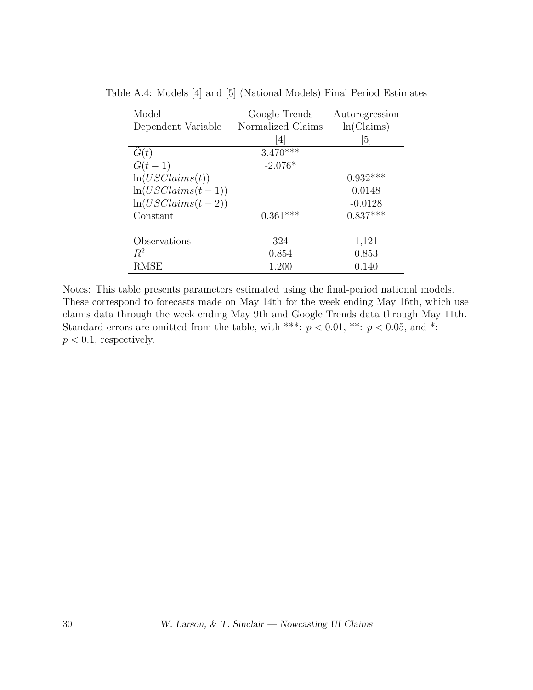| Model               | Google Trends     | Autoregression |
|---------------------|-------------------|----------------|
| Dependent Variable  | Normalized Claims | ln(Clains)     |
|                     | 4                 | 5              |
| G(t)                | $3.470***$        |                |
| $G(t-1)$            | $-2.076*$         |                |
| ln(USClains(t))     |                   | $0.932***$     |
| $ln(USClains(t-1))$ |                   | 0.0148         |
| $ln(USClains(t-2))$ |                   | $-0.0128$      |
| Constant            | $0.361***$        | $0.837***$     |
|                     |                   |                |
| Observations        | 324               | 1,121          |
| $R^2$               | 0.854             | 0.853          |
| <b>RMSE</b>         | 1.200             | 0.140          |

Table A.4: Models [4] and [5] (National Models) Final Period Estimates

Notes: This table presents parameters estimated using the final-period national models. These correspond to forecasts made on May 14th for the week ending May 16th, which use claims data through the week ending May 9th and Google Trends data through May 11th. Standard errors are omitted from the table, with \*\*\*:  $p < 0.01$ , \*\*:  $p < 0.05$ , and \*:  $p < 0.1$ , respectively.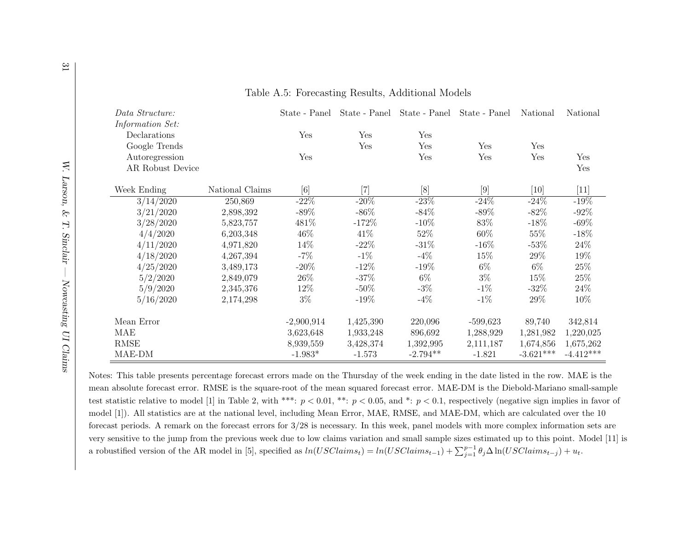| Data Structure:  |                 | State - Panel |           | State - Panel State - Panel | State - Panel | National    | National    |
|------------------|-----------------|---------------|-----------|-----------------------------|---------------|-------------|-------------|
| Information Set: |                 |               |           |                             |               |             |             |
| Declarations     |                 | Yes           | Yes       | Yes                         |               |             |             |
| Google Trends    |                 |               | Yes       | Yes                         | Yes           | Yes         |             |
| Autoregression   |                 | Yes           |           | Yes                         | Yes           | Yes         | Yes         |
| AR Robust Device |                 |               |           |                             |               |             | Yes         |
| Week Ending      | National Claims | [6]           | $[7]$     | [8]                         | [9]           | [10]        | [11]        |
| 3/14/2020        | 250,869         | $-22\%$       | $-20\%$   | $-23%$                      | $-24%$        | $-24\%$     | $-19\%$     |
| 3/21/2020        | 2,898,392       | $-89\%$       | $-86\%$   | $-84\%$                     | $-89\%$       | $-82\%$     | $-92\%$     |
| 3/28/2020        | 5,823,757       | 481\%         | $-172%$   | $-10\%$                     | 83%           | $-18%$      | $-69\%$     |
| 4/4/2020         | 6,203,348       | 46\%          | 41\%      | 52%                         | $60\%$        | 55%         | $-18%$      |
| 4/11/2020        | 4,971,820       | 14%           | $-22\%$   | $-31%$                      | $-16\%$       | $-53%$      | 24\%        |
| 4/18/2020        | 4,267,394       | $-7\%$        | $-1\%$    | $-4\%$                      | 15%           | 29%         | 19%         |
| 4/25/2020        | 3,489,173       | $-20\%$       | $-12\%$   | $-19%$                      | $6\%$         | $6\%$       | 25\%        |
| 5/2/2020         | 2,849,079       | 26\%          | $-37\%$   | $6\%$                       | $3\%$         | 15\%        | 25\%        |
| 5/9/2020         | 2,345,376       | 12%           | $-50\%$   | $-3\%$                      | $-1\%$        | $-32\%$     | 24\%        |
| 5/16/2020        | 2,174,298       | $3\%$         | $-19%$    | $-4\%$                      | $-1\%$        | 29\%        | 10%         |
| Mean Error       |                 | $-2,900,914$  | 1,425,390 | 220,096                     | $-599,623$    | 89,740      | 342,814     |
| MAE              |                 | 3,623,648     | 1,933,248 | 896,692                     | 1,288,929     | 1,281,982   | 1,220,025   |
| <b>RMSE</b>      |                 | 8,939,559     | 3,428,374 | 1,392,995                   | 2,111,187     | 1,674,856   | 1,675,262   |
| MAE-DM           |                 | $-1.983*$     | $-1.573$  | $-2.794**$                  | $-1.821$      | $-3.621***$ | $-4.412***$ |

Table A.5: Forecasting Results, Additional Models

<span id="page-32-0"></span>Notes: This table presents percentage forecast errors made on the Thursday of the week ending in the date listed in the row. MAE is themean absolute forecast error. RMSE is the square-root of the mean squared forecast error. MAE-DM is the Diebold-Mariano small-sampletest statistic relative to model [1] in Table [2,](#page-26-1) with \*\*\*:  $p < 0.01$ , \*\*:  $p < 0.05$ , and \*:  $p < 0.1$ , respectively (negative sign implies in favor of model [1]). All statistics are at the national level, including Mean Error, MAE, RMSE, and MAE-DM, which are calculated over the <sup>10</sup> forecast periods. A remark on the forecast errors for 3/28 is necessary. In this week, pane<sup>l</sup> models with more complex information sets are very sensitive to the jump from the previous week due to low claims variation and small sample sizes estimated up to this point. Model [11] isa robustified version of the AR model in [5], specified as  $ln(USCl aims_t) = ln(USClains_{t-1}) + \sum_{j=1}^{p-1} \theta_j \Delta \ln(USClains_{t-j}) + u_t$ .